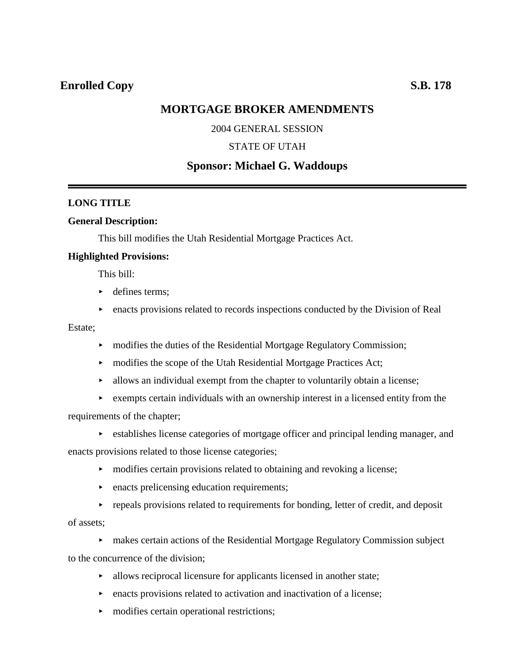# **MORTGAGE BROKER AMENDMENTS**

### 2004 GENERAL SESSION

### STATE OF UTAH

# **Sponsor: Michael G. Waddoups**

### **LONG TITLE**

### **General Description:**

This bill modifies the Utah Residential Mortgage Practices Act.

### **Highlighted Provisions:**

This bill:

- defines terms;
- $\triangleright$  enacts provisions related to records inspections conducted by the Division of Real

Estate;

- modifies the duties of the Residential Mortgage Regulatory Commission;
- modifies the scope of the Utah Residential Mortgage Practices Act;
- $\blacktriangleright$  allows an individual exempt from the chapter to voluntarily obtain a license;
- $\triangleright$  exempts certain individuals with an ownership interest in a licensed entity from the requirements of the chapter;
	- $\rightarrow$  establishes license categories of mortgage officer and principal lending manager, and

enacts provisions related to those license categories;

- $\rightarrow$  modifies certain provisions related to obtaining and revoking a license;
- $\blacktriangleright$  enacts prelicensing education requirements;
- $\rightarrow$  repeals provisions related to requirements for bonding, letter of credit, and deposit of assets;

< makes certain actions of the Residential Mortgage Regulatory Commission subject to the concurrence of the division;

- $\blacktriangleright$  allows reciprocal licensure for applicants licensed in another state;
- < enacts provisions related to activation and inactivation of a license;
- modifies certain operational restrictions;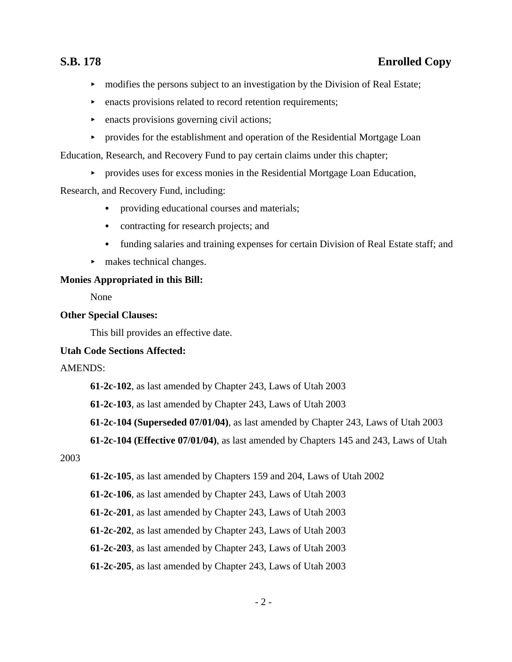- $\blacktriangleright$  modifies the persons subject to an investigation by the Division of Real Estate;
- $\triangleright$  enacts provisions related to record retention requirements;
- $\blacktriangleright$  enacts provisions governing civil actions;
- **Exercise** For the establishment and operation of the Residential Mortgage Loan

Education, Research, and Recovery Fund to pay certain claims under this chapter;

< provides uses for excess monies in the Residential Mortgage Loan Education,

## Research, and Recovery Fund, including:

- providing educational courses and materials;
- contracting for research projects; and
- funding salaries and training expenses for certain Division of Real Estate staff; and
- $\blacktriangleright$  makes technical changes.

## **Monies Appropriated in this Bill:**

None

## **Other Special Clauses:**

This bill provides an effective date.

## **Utah Code Sections Affected:**

## AMENDS:

**61-2c-102**, as last amended by Chapter 243, Laws of Utah 2003

**61-2c-103**, as last amended by Chapter 243, Laws of Utah 2003

**61-2c-104 (Superseded 07/01/04)**, as last amended by Chapter 243, Laws of Utah 2003

**61-2c-104 (Effective 07/01/04)**, as last amended by Chapters 145 and 243, Laws of Utah

## 2003

**61-2c-105**, as last amended by Chapters 159 and 204, Laws of Utah 2002

**61-2c-106**, as last amended by Chapter 243, Laws of Utah 2003

**61-2c-201**, as last amended by Chapter 243, Laws of Utah 2003

**61-2c-202**, as last amended by Chapter 243, Laws of Utah 2003

**61-2c-203**, as last amended by Chapter 243, Laws of Utah 2003

## **61-2c-205**, as last amended by Chapter 243, Laws of Utah 2003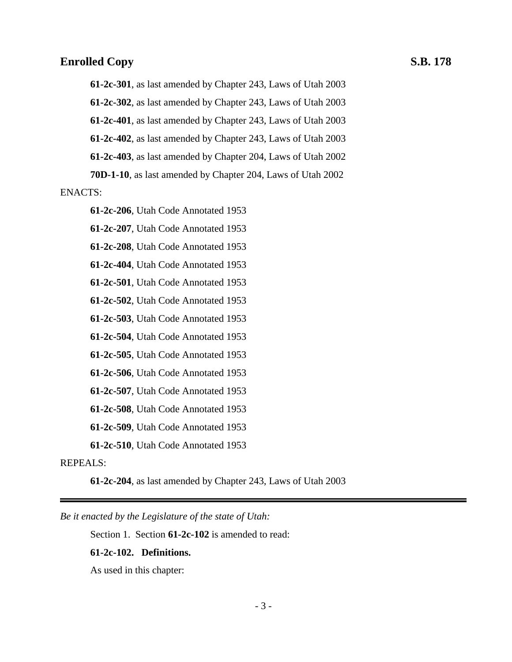**61-2c-301**, as last amended by Chapter 243, Laws of Utah 2003

**61-2c-302**, as last amended by Chapter 243, Laws of Utah 2003

**61-2c-401**, as last amended by Chapter 243, Laws of Utah 2003

**61-2c-402**, as last amended by Chapter 243, Laws of Utah 2003

**61-2c-403**, as last amended by Chapter 204, Laws of Utah 2002

**70D-1-10**, as last amended by Chapter 204, Laws of Utah 2002

### ENACTS:

**61-2c-206**, Utah Code Annotated 1953

**61-2c-207**, Utah Code Annotated 1953

**61-2c-208**, Utah Code Annotated 1953

**61-2c-404**, Utah Code Annotated 1953

**61-2c-501**, Utah Code Annotated 1953

**61-2c-502**, Utah Code Annotated 1953

**61-2c-503**, Utah Code Annotated 1953

**61-2c-504**, Utah Code Annotated 1953

**61-2c-505**, Utah Code Annotated 1953

**61-2c-506**, Utah Code Annotated 1953

**61-2c-507**, Utah Code Annotated 1953

**61-2c-508**, Utah Code Annotated 1953

**61-2c-509**, Utah Code Annotated 1953

**61-2c-510**, Utah Code Annotated 1953

### REPEALS:

**61-2c-204**, as last amended by Chapter 243, Laws of Utah 2003

*Be it enacted by the Legislature of the state of Utah:*

Section 1. Section **61-2c-102** is amended to read:

### **61-2c-102. Definitions.**

As used in this chapter: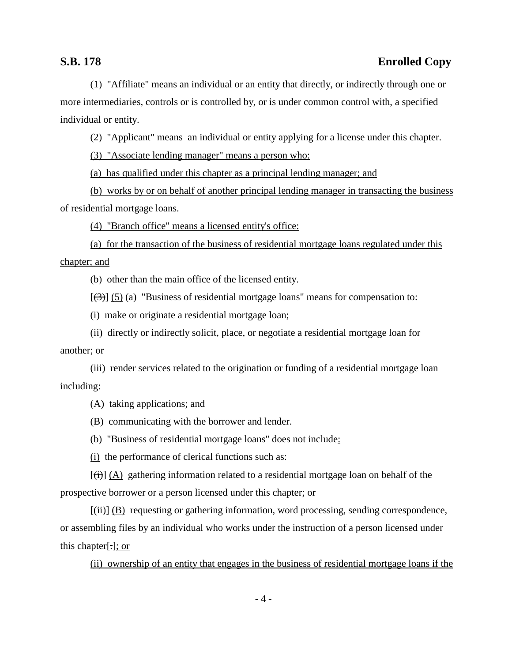(1) "Affiliate" means an individual or an entity that directly, or indirectly through one or more intermediaries, controls or is controlled by, or is under common control with, a specified individual or entity.

(2) "Applicant" means an individual or entity applying for a license under this chapter.

(3) "Associate lending manager" means a person who:

(a) has qualified under this chapter as a principal lending manager; and

(b) works by or on behalf of another principal lending manager in transacting the business of residential mortgage loans.

(4) "Branch office" means a licensed entity's office:

(a) for the transaction of the business of residential mortgage loans regulated under this chapter; and

(b) other than the main office of the licensed entity.

 $[\frac{1}{(3)}]$  (5) (a) "Business of residential mortgage loans" means for compensation to:

(i) make or originate a residential mortgage loan;

(ii) directly or indirectly solicit, place, or negotiate a residential mortgage loan for another; or

(iii) render services related to the origination or funding of a residential mortgage loan including:

(A) taking applications; and

(B) communicating with the borrower and lender.

(b) "Business of residential mortgage loans" does not include:

(i) the performance of clerical functions such as:

 $[(\dagger)\n\ddagger](A)$  gathering information related to a residential mortgage loan on behalf of the prospective borrower or a person licensed under this chapter; or

 $[\overline{\text{(ii)}}]$  (B) requesting or gathering information, word processing, sending correspondence, or assembling files by an individual who works under the instruction of a person licensed under this chapter[.]; or

(ii) ownership of an entity that engages in the business of residential mortgage loans if the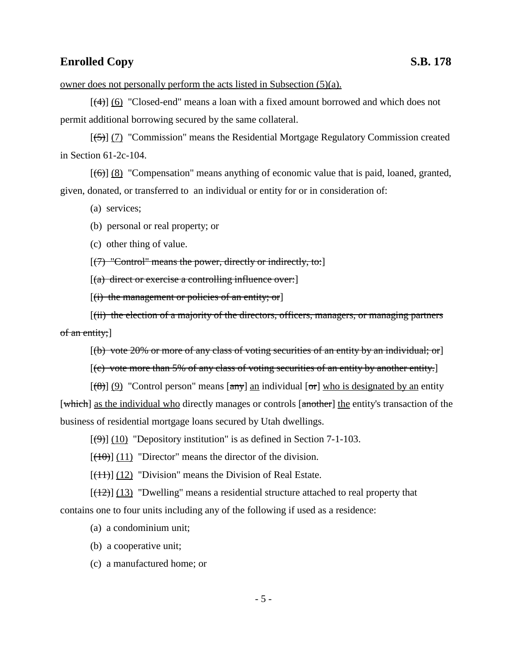owner does not personally perform the acts listed in Subsection (5)(a).

 $[\frac{4}{(4)}]$  (6) "Closed-end" means a loan with a fixed amount borrowed and which does not permit additional borrowing secured by the same collateral.

[(5)] (7) "Commission" means the Residential Mortgage Regulatory Commission created in Section 61-2c-104.

 $[\left(6\right)]$  (8) "Compensation" means anything of economic value that is paid, loaned, granted, given, donated, or transferred to an individual or entity for or in consideration of:

(a) services;

(b) personal or real property; or

(c) other thing of value.

 $[(7)$  "Control" means the power, directly or indirectly, to:

 $[(a)$  direct or exercise a controlling influence over:

 $[(i)$  the management or policies of an entity; or

[(ii) the election of a majority of the directors, officers, managers, or managing partners of an entity;]

 $[(b)$  vote 20% or more of any class of voting securities of an entity by an individual; or

 $[(c)$  vote more than 5% of any class of voting securities of an entity by another entity.

 $[(8)] (9)$  "Control person" means  $[\text{any}]$  an individual  $[\text{or}]$  who is designated by an entity [which] as the individual who directly manages or controls [another] the entity's transaction of the business of residential mortgage loans secured by Utah dwellings.

 $[\langle 9 \rangle]$  (10) "Depository institution" is as defined in Section 7-1-103.

 $[(10)(11)]$  "Director" means the director of the division.

 $[(11)]$  (12) "Division" means the Division of Real Estate.

 $[(12)(13)$  "Dwelling" means a residential structure attached to real property that contains one to four units including any of the following if used as a residence:

(a) a condominium unit;

(b) a cooperative unit;

(c) a manufactured home; or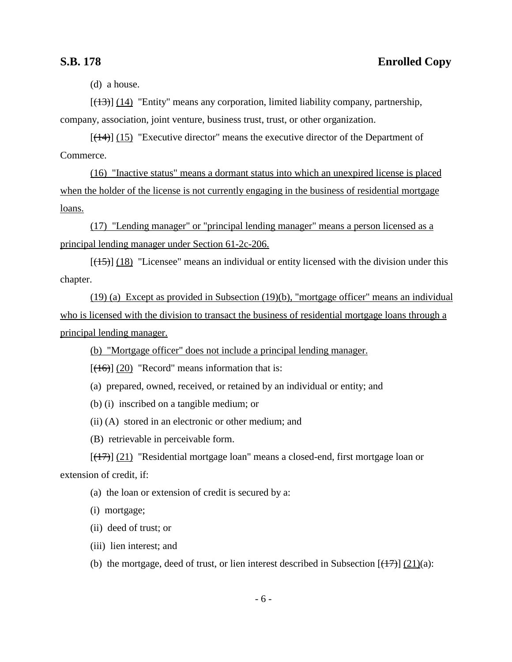(d) a house.

 $[ (13) ]$  (14) "Entity" means any corporation, limited liability company, partnership, company, association, joint venture, business trust, trust, or other organization.

 $[(14)]$  (15) "Executive director" means the executive director of the Department of Commerce.

(16) "Inactive status" means a dormant status into which an unexpired license is placed when the holder of the license is not currently engaging in the business of residential mortgage loans.

(17) "Lending manager" or "principal lending manager" means a person licensed as a principal lending manager under Section 61-2c-206.

 $[(15)]$  (18) "Licensee" means an individual or entity licensed with the division under this chapter.

(19) (a) Except as provided in Subsection (19)(b), "mortgage officer" means an individual who is licensed with the division to transact the business of residential mortgage loans through a principal lending manager.

(b) "Mortgage officer" does not include a principal lending manager.

 $[ (16) ] (20)$  "Record" means information that is:

(a) prepared, owned, received, or retained by an individual or entity; and

(b) (i) inscribed on a tangible medium; or

(ii) (A) stored in an electronic or other medium; and

(B) retrievable in perceivable form.

 $[(17)]$  (21) "Residential mortgage loan" means a closed-end, first mortgage loan or extension of credit, if:

(a) the loan or extension of credit is secured by a:

(i) mortgage;

(ii) deed of trust; or

(iii) lien interest; and

(b) the mortgage, deed of trust, or lien interest described in Subsection  $[(17)] (21)(a)$ :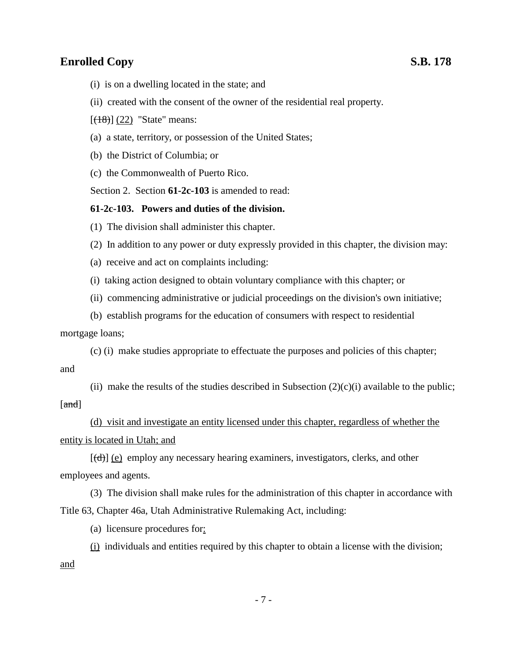- (i) is on a dwelling located in the state; and
- (ii) created with the consent of the owner of the residential real property.
- $[ (18) ] (22)$  "State" means:
- (a) a state, territory, or possession of the United States;
- (b) the District of Columbia; or
- (c) the Commonwealth of Puerto Rico.

Section 2. Section **61-2c-103** is amended to read:

### **61-2c-103. Powers and duties of the division.**

- (1) The division shall administer this chapter.
- (2) In addition to any power or duty expressly provided in this chapter, the division may:
- (a) receive and act on complaints including:
- (i) taking action designed to obtain voluntary compliance with this chapter; or
- (ii) commencing administrative or judicial proceedings on the division's own initiative;
- (b) establish programs for the education of consumers with respect to residential

mortgage loans;

(c) (i) make studies appropriate to effectuate the purposes and policies of this chapter; and

(ii) make the results of the studies described in Subsection  $(2)(c)(i)$  available to the public; [and]

(d) visit and investigate an entity licensed under this chapter, regardless of whether the entity is located in Utah; and

 $[(d)]$  (e) employ any necessary hearing examiners, investigators, clerks, and other employees and agents.

(3) The division shall make rules for the administration of this chapter in accordance with Title 63, Chapter 46a, Utah Administrative Rulemaking Act, including:

(a) licensure procedures for:

(i) individuals and entities required by this chapter to obtain a license with the division; and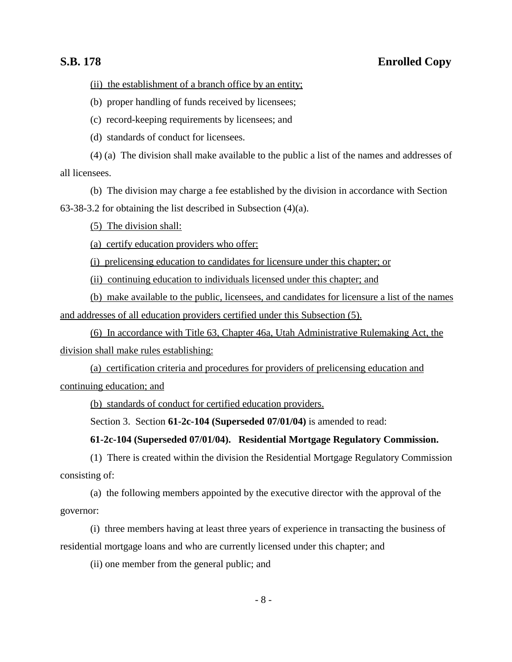(ii) the establishment of a branch office by an entity;

(b) proper handling of funds received by licensees;

(c) record-keeping requirements by licensees; and

(d) standards of conduct for licensees.

(4) (a) The division shall make available to the public a list of the names and addresses of all licensees.

(b) The division may charge a fee established by the division in accordance with Section

63-38-3.2 for obtaining the list described in Subsection (4)(a).

(5) The division shall:

(a) certify education providers who offer:

(i) prelicensing education to candidates for licensure under this chapter; or

(ii) continuing education to individuals licensed under this chapter; and

(b) make available to the public, licensees, and candidates for licensure a list of the names and addresses of all education providers certified under this Subsection (5).

(6) In accordance with Title 63, Chapter 46a, Utah Administrative Rulemaking Act, the division shall make rules establishing:

(a) certification criteria and procedures for providers of prelicensing education and continuing education; and

(b) standards of conduct for certified education providers.

Section 3. Section **61-2c-104 (Superseded 07/01/04)** is amended to read:

### **61-2c-104 (Superseded 07/01/04). Residential Mortgage Regulatory Commission.**

(1) There is created within the division the Residential Mortgage Regulatory Commission consisting of:

(a) the following members appointed by the executive director with the approval of the governor:

(i) three members having at least three years of experience in transacting the business of residential mortgage loans and who are currently licensed under this chapter; and

(ii) one member from the general public; and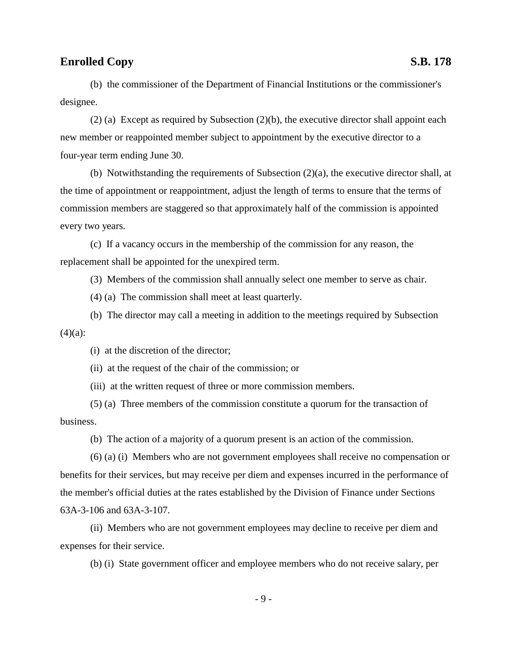(b) the commissioner of the Department of Financial Institutions or the commissioner's designee.

(2) (a) Except as required by Subsection (2)(b), the executive director shall appoint each new member or reappointed member subject to appointment by the executive director to a four-year term ending June 30.

(b) Notwithstanding the requirements of Subsection (2)(a), the executive director shall, at the time of appointment or reappointment, adjust the length of terms to ensure that the terms of commission members are staggered so that approximately half of the commission is appointed every two years.

(c) If a vacancy occurs in the membership of the commission for any reason, the replacement shall be appointed for the unexpired term.

(3) Members of the commission shall annually select one member to serve as chair.

(4) (a) The commission shall meet at least quarterly.

(b) The director may call a meeting in addition to the meetings required by Subsection  $(4)(a)$ :

(i) at the discretion of the director;

(ii) at the request of the chair of the commission; or

(iii) at the written request of three or more commission members.

(5) (a) Three members of the commission constitute a quorum for the transaction of business.

(b) The action of a majority of a quorum present is an action of the commission.

(6) (a) (i) Members who are not government employees shall receive no compensation or benefits for their services, but may receive per diem and expenses incurred in the performance of the member's official duties at the rates established by the Division of Finance under Sections 63A-3-106 and 63A-3-107.

(ii) Members who are not government employees may decline to receive per diem and expenses for their service.

(b) (i) State government officer and employee members who do not receive salary, per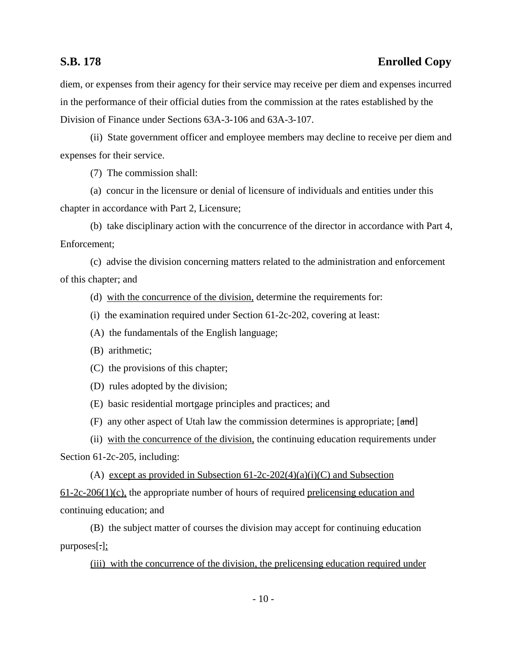diem, or expenses from their agency for their service may receive per diem and expenses incurred in the performance of their official duties from the commission at the rates established by the Division of Finance under Sections 63A-3-106 and 63A-3-107.

(ii) State government officer and employee members may decline to receive per diem and expenses for their service.

(7) The commission shall:

(a) concur in the licensure or denial of licensure of individuals and entities under this chapter in accordance with Part 2, Licensure;

(b) take disciplinary action with the concurrence of the director in accordance with Part 4, Enforcement;

(c) advise the division concerning matters related to the administration and enforcement of this chapter; and

(d) with the concurrence of the division, determine the requirements for:

- (i) the examination required under Section 61-2c-202, covering at least:
- (A) the fundamentals of the English language;
- (B) arithmetic;
- (C) the provisions of this chapter;
- (D) rules adopted by the division;
- (E) basic residential mortgage principles and practices; and
- (F) any other aspect of Utah law the commission determines is appropriate; [and]

(ii) with the concurrence of the division, the continuing education requirements under

Section 61-2c-205, including:

(A) except as provided in Subsection  $61-2c-202(4)(a)(i)(C)$  and Subsection  $61-2c-206(1)(c)$ , the appropriate number of hours of required prelicensing education and continuing education; and

(B) the subject matter of courses the division may accept for continuing education purposes[.];

(iii) with the concurrence of the division, the prelicensing education required under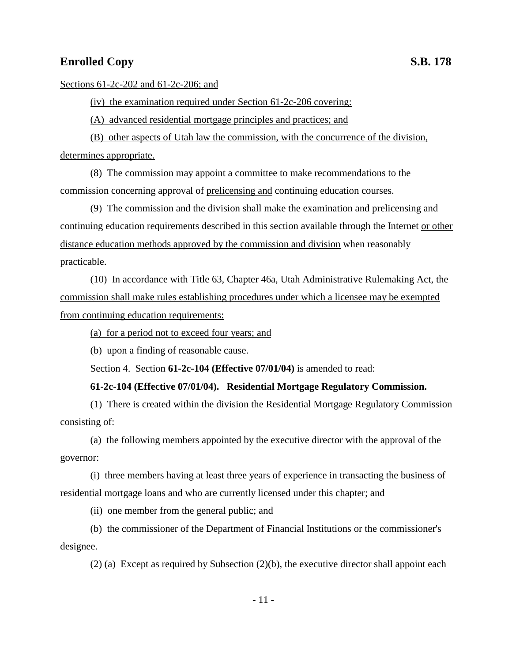Sections 61-2c-202 and 61-2c-206; and

(iv) the examination required under Section 61-2c-206 covering:

(A) advanced residential mortgage principles and practices; and

(B) other aspects of Utah law the commission, with the concurrence of the division, determines appropriate.

(8) The commission may appoint a committee to make recommendations to the commission concerning approval of prelicensing and continuing education courses.

(9) The commission and the division shall make the examination and prelicensing and continuing education requirements described in this section available through the Internet or other distance education methods approved by the commission and division when reasonably practicable.

(10) In accordance with Title 63, Chapter 46a, Utah Administrative Rulemaking Act, the commission shall make rules establishing procedures under which a licensee may be exempted from continuing education requirements:

(a) for a period not to exceed four years; and

(b) upon a finding of reasonable cause.

Section 4. Section **61-2c-104 (Effective 07/01/04)** is amended to read:

### **61-2c-104 (Effective 07/01/04). Residential Mortgage Regulatory Commission.**

(1) There is created within the division the Residential Mortgage Regulatory Commission consisting of:

(a) the following members appointed by the executive director with the approval of the governor:

(i) three members having at least three years of experience in transacting the business of residential mortgage loans and who are currently licensed under this chapter; and

(ii) one member from the general public; and

(b) the commissioner of the Department of Financial Institutions or the commissioner's designee.

(2) (a) Except as required by Subsection (2)(b), the executive director shall appoint each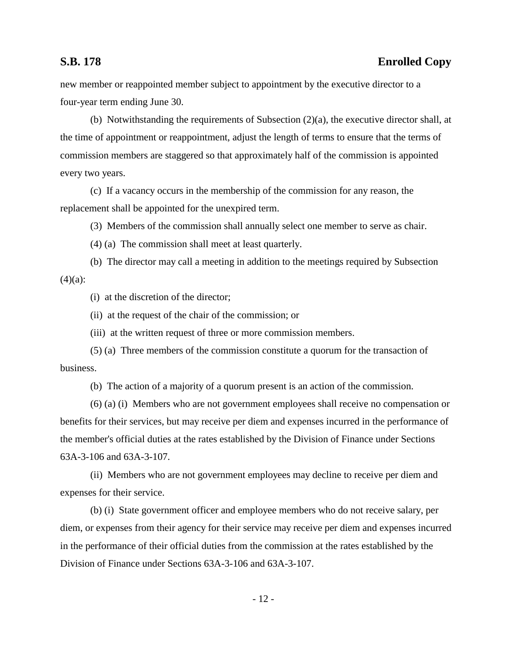new member or reappointed member subject to appointment by the executive director to a four-year term ending June 30.

(b) Notwithstanding the requirements of Subsection (2)(a), the executive director shall, at the time of appointment or reappointment, adjust the length of terms to ensure that the terms of commission members are staggered so that approximately half of the commission is appointed every two years.

(c) If a vacancy occurs in the membership of the commission for any reason, the replacement shall be appointed for the unexpired term.

(3) Members of the commission shall annually select one member to serve as chair.

(4) (a) The commission shall meet at least quarterly.

(b) The director may call a meeting in addition to the meetings required by Subsection  $(4)(a)$ :

(i) at the discretion of the director;

(ii) at the request of the chair of the commission; or

(iii) at the written request of three or more commission members.

(5) (a) Three members of the commission constitute a quorum for the transaction of business.

(b) The action of a majority of a quorum present is an action of the commission.

(6) (a) (i) Members who are not government employees shall receive no compensation or benefits for their services, but may receive per diem and expenses incurred in the performance of the member's official duties at the rates established by the Division of Finance under Sections 63A-3-106 and 63A-3-107.

(ii) Members who are not government employees may decline to receive per diem and expenses for their service.

(b) (i) State government officer and employee members who do not receive salary, per diem, or expenses from their agency for their service may receive per diem and expenses incurred in the performance of their official duties from the commission at the rates established by the Division of Finance under Sections 63A-3-106 and 63A-3-107.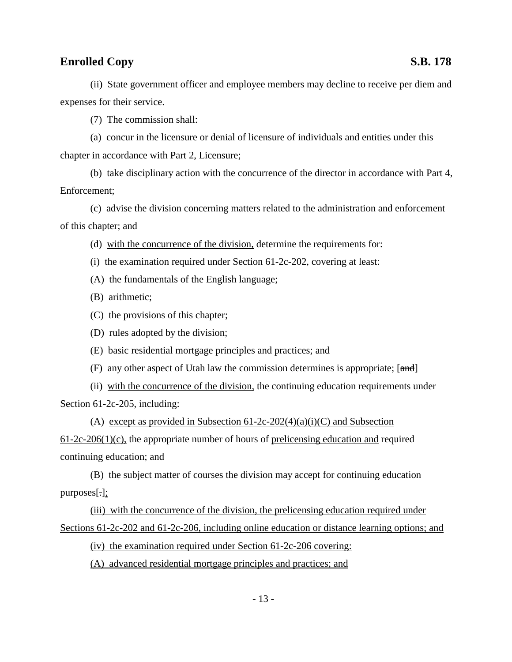(7) The commission shall:

(a) concur in the licensure or denial of licensure of individuals and entities under this chapter in accordance with Part 2, Licensure;

(b) take disciplinary action with the concurrence of the director in accordance with Part 4, Enforcement;

(c) advise the division concerning matters related to the administration and enforcement of this chapter; and

- (d) with the concurrence of the division, determine the requirements for:
- (i) the examination required under Section 61-2c-202, covering at least:
- (A) the fundamentals of the English language;
- (B) arithmetic;
- (C) the provisions of this chapter;
- (D) rules adopted by the division;
- (E) basic residential mortgage principles and practices; and
- (F) any other aspect of Utah law the commission determines is appropriate; [and]

(ii) with the concurrence of the division, the continuing education requirements under Section 61-2c-205, including:

(A) except as provided in Subsection  $61-2c-202(4)(a)(i)(C)$  and Subsection  $61-2c-206(1)(c)$ , the appropriate number of hours of prelicensing education and required continuing education; and

(B) the subject matter of courses the division may accept for continuing education purposes[.];

(iii) with the concurrence of the division, the prelicensing education required under Sections 61-2c-202 and 61-2c-206, including online education or distance learning options; and

(iv) the examination required under Section 61-2c-206 covering:

(A) advanced residential mortgage principles and practices; and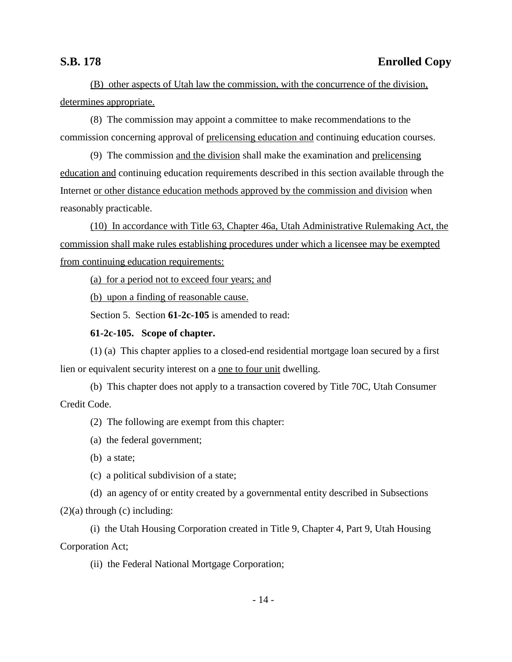(B) other aspects of Utah law the commission, with the concurrence of the division, determines appropriate.

(8) The commission may appoint a committee to make recommendations to the commission concerning approval of prelicensing education and continuing education courses.

(9) The commission and the division shall make the examination and prelicensing education and continuing education requirements described in this section available through the Internet or other distance education methods approved by the commission and division when reasonably practicable.

(10) In accordance with Title 63, Chapter 46a, Utah Administrative Rulemaking Act, the commission shall make rules establishing procedures under which a licensee may be exempted from continuing education requirements:

(a) for a period not to exceed four years; and

(b) upon a finding of reasonable cause.

Section 5. Section **61-2c-105** is amended to read:

### **61-2c-105. Scope of chapter.**

(1) (a) This chapter applies to a closed-end residential mortgage loan secured by a first lien or equivalent security interest on a one to four unit dwelling.

(b) This chapter does not apply to a transaction covered by Title 70C, Utah Consumer Credit Code.

(2) The following are exempt from this chapter:

(a) the federal government;

(b) a state;

(c) a political subdivision of a state;

(d) an agency of or entity created by a governmental entity described in Subsections

 $(2)(a)$  through  $(c)$  including:

(i) the Utah Housing Corporation created in Title 9, Chapter 4, Part 9, Utah Housing Corporation Act;

(ii) the Federal National Mortgage Corporation;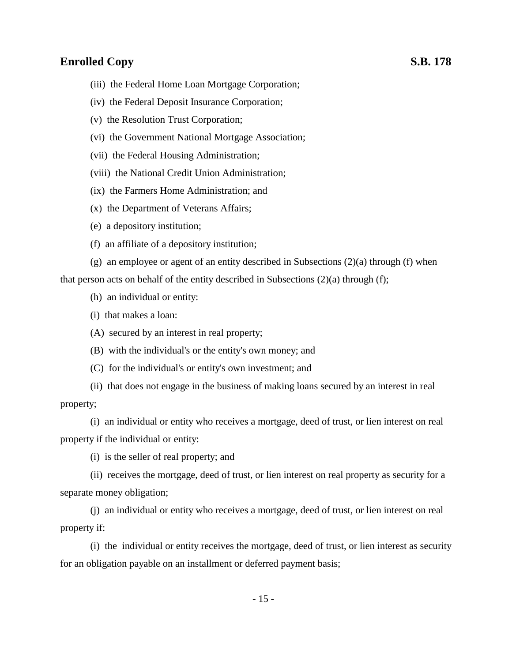- (iii) the Federal Home Loan Mortgage Corporation;
- (iv) the Federal Deposit Insurance Corporation;
- (v) the Resolution Trust Corporation;
- (vi) the Government National Mortgage Association;
- (vii) the Federal Housing Administration;
- (viii) the National Credit Union Administration;
- (ix) the Farmers Home Administration; and
- (x) the Department of Veterans Affairs;
- (e) a depository institution;
- (f) an affiliate of a depository institution;

(g) an employee or agent of an entity described in Subsections (2)(a) through (f) when that person acts on behalf of the entity described in Subsections  $(2)(a)$  through  $(f)$ ;

- (h) an individual or entity:
- (i) that makes a loan:
- (A) secured by an interest in real property;
- (B) with the individual's or the entity's own money; and
- (C) for the individual's or entity's own investment; and
- (ii) that does not engage in the business of making loans secured by an interest in real property;

(i) an individual or entity who receives a mortgage, deed of trust, or lien interest on real property if the individual or entity:

(i) is the seller of real property; and

(ii) receives the mortgage, deed of trust, or lien interest on real property as security for a separate money obligation;

(j) an individual or entity who receives a mortgage, deed of trust, or lien interest on real property if:

(i) the individual or entity receives the mortgage, deed of trust, or lien interest as security for an obligation payable on an installment or deferred payment basis;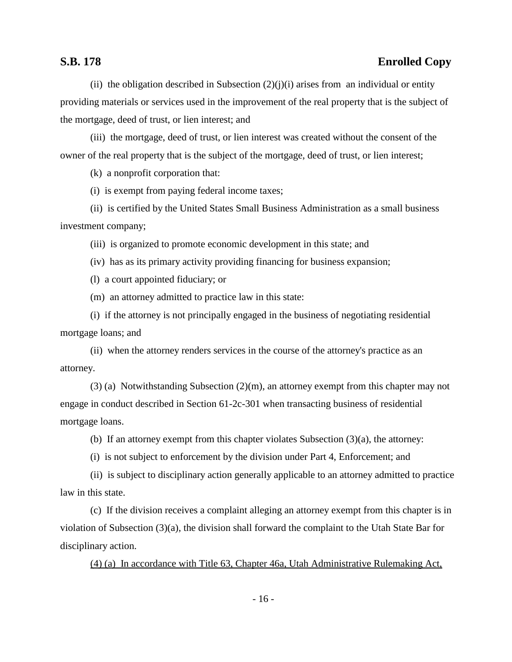(ii) the obligation described in Subsection  $(2)(j)(i)$  arises from an individual or entity providing materials or services used in the improvement of the real property that is the subject of the mortgage, deed of trust, or lien interest; and

(iii) the mortgage, deed of trust, or lien interest was created without the consent of the owner of the real property that is the subject of the mortgage, deed of trust, or lien interest;

(k) a nonprofit corporation that:

(i) is exempt from paying federal income taxes;

(ii) is certified by the United States Small Business Administration as a small business investment company;

(iii) is organized to promote economic development in this state; and

(iv) has as its primary activity providing financing for business expansion;

(l) a court appointed fiduciary; or

(m) an attorney admitted to practice law in this state:

(i) if the attorney is not principally engaged in the business of negotiating residential mortgage loans; and

(ii) when the attorney renders services in the course of the attorney's practice as an attorney.

(3) (a) Notwithstanding Subsection (2)(m), an attorney exempt from this chapter may not engage in conduct described in Section 61-2c-301 when transacting business of residential mortgage loans.

(b) If an attorney exempt from this chapter violates Subsection  $(3)(a)$ , the attorney:

(i) is not subject to enforcement by the division under Part 4, Enforcement; and

(ii) is subject to disciplinary action generally applicable to an attorney admitted to practice law in this state.

(c) If the division receives a complaint alleging an attorney exempt from this chapter is in violation of Subsection (3)(a), the division shall forward the complaint to the Utah State Bar for disciplinary action.

(4) (a) In accordance with Title 63, Chapter 46a, Utah Administrative Rulemaking Act,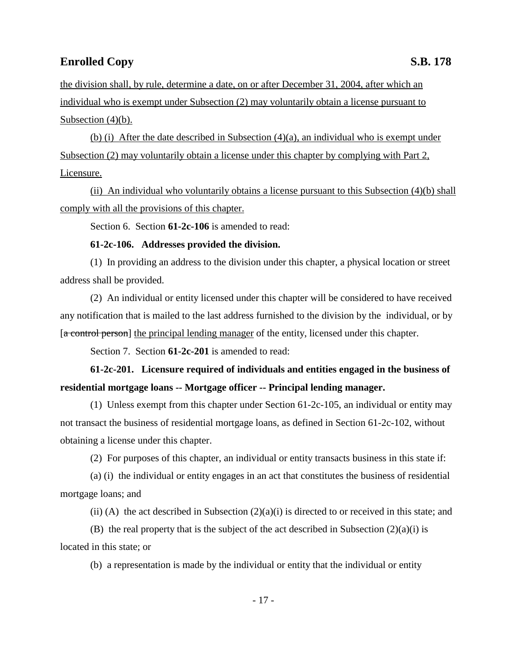the division shall, by rule, determine a date, on or after December 31, 2004, after which an individual who is exempt under Subsection (2) may voluntarily obtain a license pursuant to Subsection  $(4)(b)$ .

(b) (i) After the date described in Subsection  $(4)(a)$ , an individual who is exempt under Subsection (2) may voluntarily obtain a license under this chapter by complying with Part 2, Licensure.

(ii) An individual who voluntarily obtains a license pursuant to this Subsection (4)(b) shall comply with all the provisions of this chapter.

Section 6. Section **61-2c-106** is amended to read:

### **61-2c-106. Addresses provided the division.**

(1) In providing an address to the division under this chapter, a physical location or street address shall be provided.

(2) An individual or entity licensed under this chapter will be considered to have received any notification that is mailed to the last address furnished to the division by the individual, or by [a control person] the principal lending manager of the entity, licensed under this chapter.

Section 7. Section **61-2c-201** is amended to read:

**61-2c-201. Licensure required of individuals and entities engaged in the business of residential mortgage loans -- Mortgage officer -- Principal lending manager.**

(1) Unless exempt from this chapter under Section 61-2c-105, an individual or entity may not transact the business of residential mortgage loans, as defined in Section 61-2c-102, without obtaining a license under this chapter.

(2) For purposes of this chapter, an individual or entity transacts business in this state if:

(a) (i) the individual or entity engages in an act that constitutes the business of residential mortgage loans; and

(ii) (A) the act described in Subsection  $(2)(a)(i)$  is directed to or received in this state; and

(B) the real property that is the subject of the act described in Subsection  $(2)(a)(i)$  is located in this state; or

(b) a representation is made by the individual or entity that the individual or entity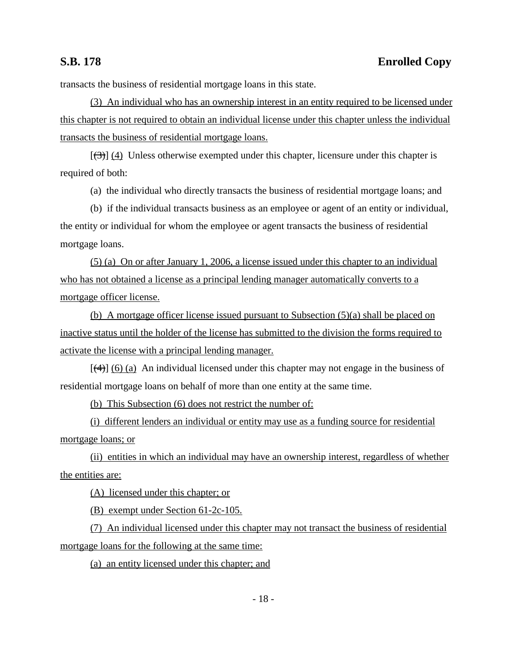transacts the business of residential mortgage loans in this state.

(3) An individual who has an ownership interest in an entity required to be licensed under this chapter is not required to obtain an individual license under this chapter unless the individual transacts the business of residential mortgage loans.

 $[\frac{1}{3}]$  (4) Unless otherwise exempted under this chapter, licensure under this chapter is required of both:

(a) the individual who directly transacts the business of residential mortgage loans; and

(b) if the individual transacts business as an employee or agent of an entity or individual, the entity or individual for whom the employee or agent transacts the business of residential mortgage loans.

(5) (a) On or after January 1, 2006, a license issued under this chapter to an individual who has not obtained a license as a principal lending manager automatically converts to a mortgage officer license.

(b) A mortgage officer license issued pursuant to Subsection (5)(a) shall be placed on inactive status until the holder of the license has submitted to the division the forms required to activate the license with a principal lending manager.

 $[\frac{4}{(4)}]$  (6) (a) An individual licensed under this chapter may not engage in the business of residential mortgage loans on behalf of more than one entity at the same time.

(b) This Subsection (6) does not restrict the number of:

(i) different lenders an individual or entity may use as a funding source for residential mortgage loans; or

(ii) entities in which an individual may have an ownership interest, regardless of whether the entities are:

(A) licensed under this chapter; or

(B) exempt under Section 61-2c-105.

(7) An individual licensed under this chapter may not transact the business of residential mortgage loans for the following at the same time:

(a) an entity licensed under this chapter; and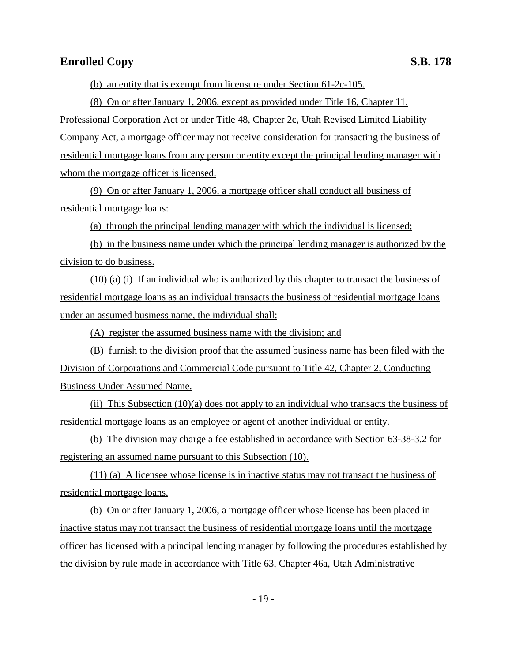(b) an entity that is exempt from licensure under Section 61-2c-105.

(8) On or after January 1, 2006, except as provided under Title 16, Chapter 11, Professional Corporation Act or under Title 48, Chapter 2c, Utah Revised Limited Liability Company Act, a mortgage officer may not receive consideration for transacting the business of residential mortgage loans from any person or entity except the principal lending manager with whom the mortgage officer is licensed.

(9) On or after January 1, 2006, a mortgage officer shall conduct all business of residential mortgage loans:

(a) through the principal lending manager with which the individual is licensed;

(b) in the business name under which the principal lending manager is authorized by the division to do business.

(10) (a) (i) If an individual who is authorized by this chapter to transact the business of residential mortgage loans as an individual transacts the business of residential mortgage loans under an assumed business name, the individual shall:

(A) register the assumed business name with the division; and

(B) furnish to the division proof that the assumed business name has been filed with the Division of Corporations and Commercial Code pursuant to Title 42, Chapter 2, Conducting Business Under Assumed Name.

(ii) This Subsection (10)(a) does not apply to an individual who transacts the business of residential mortgage loans as an employee or agent of another individual or entity.

(b) The division may charge a fee established in accordance with Section 63-38-3.2 for registering an assumed name pursuant to this Subsection (10).

(11) (a) A licensee whose license is in inactive status may not transact the business of residential mortgage loans.

(b) On or after January 1, 2006, a mortgage officer whose license has been placed in inactive status may not transact the business of residential mortgage loans until the mortgage officer has licensed with a principal lending manager by following the procedures established by the division by rule made in accordance with Title 63, Chapter 46a, Utah Administrative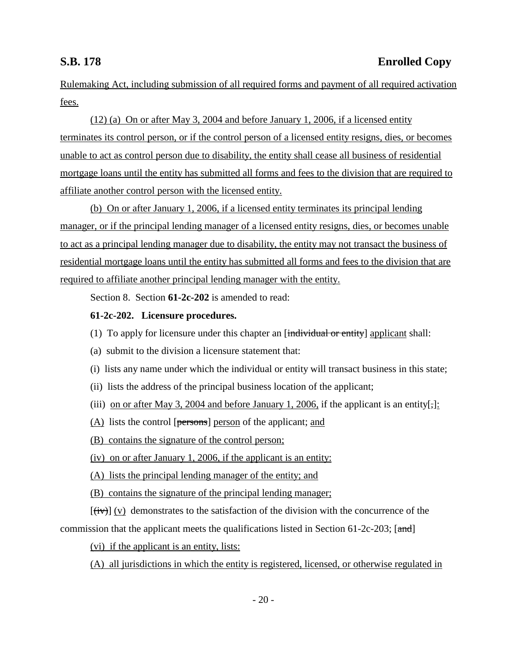Rulemaking Act, including submission of all required forms and payment of all required activation fees.

(12) (a) On or after May 3, 2004 and before January 1, 2006, if a licensed entity terminates its control person, or if the control person of a licensed entity resigns, dies, or becomes unable to act as control person due to disability, the entity shall cease all business of residential mortgage loans until the entity has submitted all forms and fees to the division that are required to affiliate another control person with the licensed entity.

(b) On or after January 1, 2006, if a licensed entity terminates its principal lending manager, or if the principal lending manager of a licensed entity resigns, dies, or becomes unable to act as a principal lending manager due to disability, the entity may not transact the business of residential mortgage loans until the entity has submitted all forms and fees to the division that are required to affiliate another principal lending manager with the entity.

Section 8. Section **61-2c-202** is amended to read:

### **61-2c-202. Licensure procedures.**

- (1) To apply for licensure under this chapter an  $[\text{individual or entity}]$  applicant shall:
- (a) submit to the division a licensure statement that:
- (i) lists any name under which the individual or entity will transact business in this state;
- (ii) lists the address of the principal business location of the applicant;
- (iii) on or after May 3, 2004 and before January 1, 2006, if the applicant is an entity[;]:
- (A) lists the control [persons] person of the applicant; and
- (B) contains the signature of the control person;
- (iv) on or after January 1, 2006, if the applicant is an entity:
- (A) lists the principal lending manager of the entity; and
- (B) contains the signature of the principal lending manager;

 $[(iv)]$  (v) demonstrates to the satisfaction of the division with the concurrence of the commission that the applicant meets the qualifications listed in Section 61-2c-203;  $[\text{and}]$ 

(vi) if the applicant is an entity, lists:

(A) all jurisdictions in which the entity is registered, licensed, or otherwise regulated in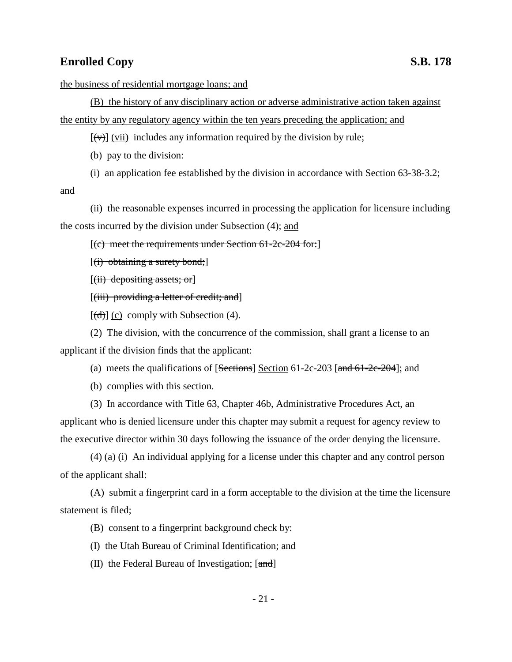the business of residential mortgage loans; and

(B) the history of any disciplinary action or adverse administrative action taken against the entity by any regulatory agency within the ten years preceding the application; and

 $[(\forall \theta)]$  (vii) includes any information required by the division by rule;

(b) pay to the division:

(i) an application fee established by the division in accordance with Section 63-38-3.2;

and

(ii) the reasonable expenses incurred in processing the application for licensure including the costs incurred by the division under Subsection (4); and

 $[(e)$  meet the requirements under Section 61-2c-204 for:

 $[(i)$  obtaining a surety bond;

 $[(ii)$  depositing assets; or

[(iii) providing a letter of credit; and]

 $[\text{(\text{d})}]$  (c) comply with Subsection (4).

(2) The division, with the concurrence of the commission, shall grant a license to an applicant if the division finds that the applicant:

(a) meets the qualifications of  $[Section 61-2c-203]$   $[and 61-2c-204]$ ; and

(b) complies with this section.

(3) In accordance with Title 63, Chapter 46b, Administrative Procedures Act, an applicant who is denied licensure under this chapter may submit a request for agency review to the executive director within 30 days following the issuance of the order denying the licensure.

(4) (a) (i) An individual applying for a license under this chapter and any control person of the applicant shall:

(A) submit a fingerprint card in a form acceptable to the division at the time the licensure statement is filed;

(B) consent to a fingerprint background check by:

(I) the Utah Bureau of Criminal Identification; and

(II) the Federal Bureau of Investigation;  $[\text{and}]$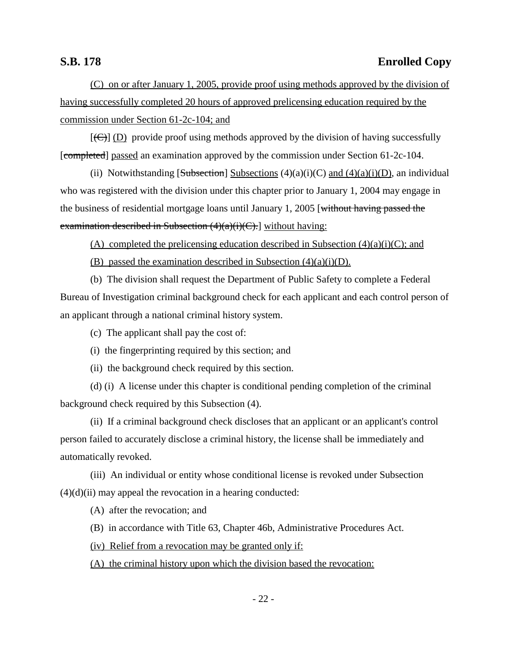(C) on or after January 1, 2005, provide proof using methods approved by the division of having successfully completed 20 hours of approved prelicensing education required by the commission under Section 61-2c-104; and

 $[(\bigoplus)]$  (D) provide proof using methods approved by the division of having successfully [completed] passed an examination approved by the commission under Section 61-2c-104.

(ii) Notwithstanding [Subsection] Subsections  $(4)(a)(i)(C)$  and  $(4)(a)(i)(D)$ , an individual who was registered with the division under this chapter prior to January 1, 2004 may engage in the business of residential mortgage loans until January 1, 2005 [without having passed the examination described in Subsection  $(4)(a)(i)(C)$ . without having:

(A) completed the prelicensing education described in Subsection  $(4)(a)(i)(C)$ ; and

(B) passed the examination described in Subsection  $(4)(a)(i)(D)$ .

(b) The division shall request the Department of Public Safety to complete a Federal Bureau of Investigation criminal background check for each applicant and each control person of an applicant through a national criminal history system.

(c) The applicant shall pay the cost of:

(i) the fingerprinting required by this section; and

(ii) the background check required by this section.

(d) (i) A license under this chapter is conditional pending completion of the criminal background check required by this Subsection (4).

(ii) If a criminal background check discloses that an applicant or an applicant's control person failed to accurately disclose a criminal history, the license shall be immediately and automatically revoked.

(iii) An individual or entity whose conditional license is revoked under Subsection  $(4)(d)(ii)$  may appeal the revocation in a hearing conducted:

(A) after the revocation; and

(B) in accordance with Title 63, Chapter 46b, Administrative Procedures Act.

(iv) Relief from a revocation may be granted only if:

(A) the criminal history upon which the division based the revocation: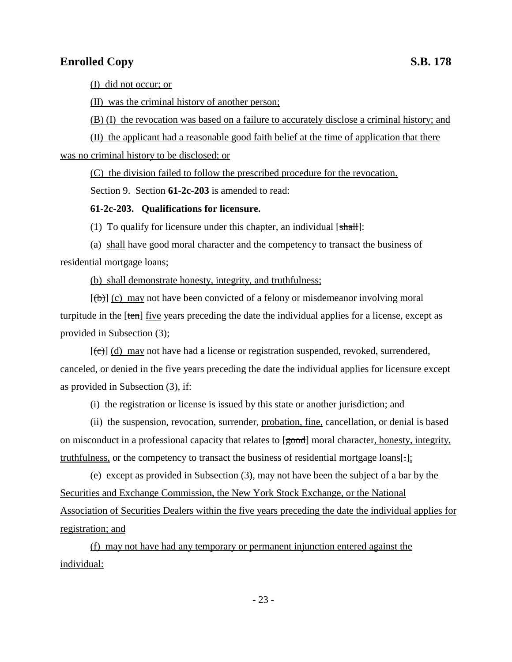(I) did not occur; or

(II) was the criminal history of another person;

(B) (I) the revocation was based on a failure to accurately disclose a criminal history; and

(II) the applicant had a reasonable good faith belief at the time of application that there

was no criminal history to be disclosed; or

(C) the division failed to follow the prescribed procedure for the revocation.

Section 9. Section **61-2c-203** is amended to read:

### **61-2c-203. Qualifications for licensure.**

(1) To qualify for licensure under this chapter, an individual  $[\frac{shall}{]}$ :

(a) shall have good moral character and the competency to transact the business of residential mortgage loans;

(b) shall demonstrate honesty, integrity, and truthfulness;

 $[(\theta)]$  (c) may not have been convicted of a felony or misdemeanor involving moral turpitude in the [ten] five years preceding the date the individual applies for a license, except as provided in Subsection (3);

 $[\text{(\text{c})}]$  (d) may not have had a license or registration suspended, revoked, surrendered, canceled, or denied in the five years preceding the date the individual applies for licensure except as provided in Subsection (3), if:

(i) the registration or license is issued by this state or another jurisdiction; and

(ii) the suspension, revocation, surrender, probation, fine, cancellation, or denial is based on misconduct in a professional capacity that relates to [good] moral character, honesty, integrity, truthfulness, or the competency to transact the business of residential mortgage loans[.];

(e) except as provided in Subsection (3), may not have been the subject of a bar by the Securities and Exchange Commission, the New York Stock Exchange, or the National Association of Securities Dealers within the five years preceding the date the individual applies for registration; and

(f) may not have had any temporary or permanent injunction entered against the individual: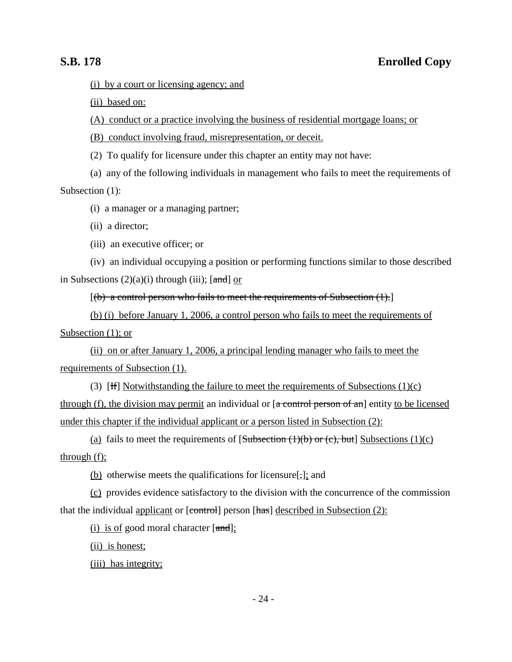(i) by a court or licensing agency; and

(ii) based on:

(A) conduct or a practice involving the business of residential mortgage loans; or

(B) conduct involving fraud, misrepresentation, or deceit.

(2) To qualify for licensure under this chapter an entity may not have:

(a) any of the following individuals in management who fails to meet the requirements of Subsection (1):

(i) a manager or a managing partner;

(ii) a director;

(iii) an executive officer; or

(iv) an individual occupying a position or performing functions similar to those described in Subsections  $(2)(a)(i)$  through (iii); [and] or

 $[(b)$  a control person who fails to meet the requirements of Subsection  $(1).]$ 

(b) (i) before January 1, 2006, a control person who fails to meet the requirements of Subsection  $(1)$ ; or

(ii) on or after January 1, 2006, a principal lending manager who fails to meet the requirements of Subsection (1).

(3) [H] Notwithstanding the failure to meet the requirements of Subsections  $(1)(c)$ through (f), the division may permit an individual or  $[a \text{ control person of an}]$  entity to be licensed under this chapter if the individual applicant or a person listed in Subsection (2):

(a) fails to meet the requirements of  $[Subsection (1)(b) or (c), but] Subsections (1)(c)$ through (f);

(b) otherwise meets the qualifications for licensure[,]; and

(c) provides evidence satisfactory to the division with the concurrence of the commission that the individual applicant or  $[**control**]$  person  $[**has**]$  described in Subsection (2):

(i) is of good moral character  $[\text{and}];$ 

(ii) is honest;

(iii) has integrity;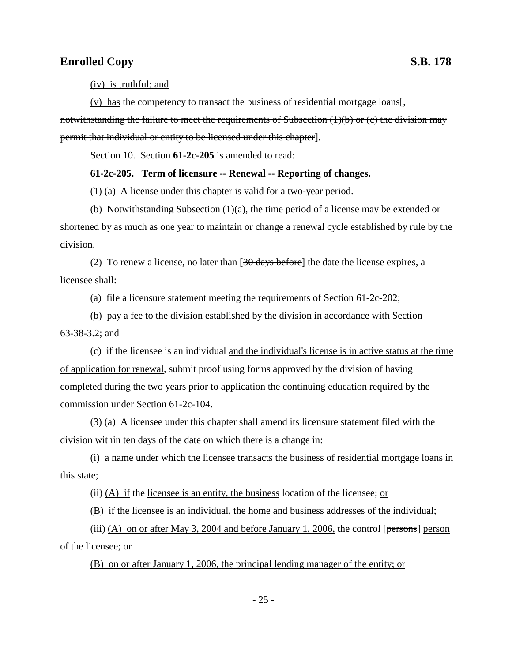(iv) is truthful; and

(v) has the competency to transact the business of residential mortgage loans[ $\frac{1}{2}$ ].

notwithstanding the failure to meet the requirements of Subsection (1)(b) or (c) the division may permit that individual or entity to be licensed under this chapter].

Section 10. Section **61-2c-205** is amended to read:

### **61-2c-205. Term of licensure -- Renewal -- Reporting of changes.**

(1) (a) A license under this chapter is valid for a two-year period.

(b) Notwithstanding Subsection  $(1)(a)$ , the time period of a license may be extended or shortened by as much as one year to maintain or change a renewal cycle established by rule by the division.

(2) To renew a license, no later than  $[30 \text{ days before}]$  the date the license expires, a licensee shall:

(a) file a licensure statement meeting the requirements of Section 61-2c-202;

(b) pay a fee to the division established by the division in accordance with Section 63-38-3.2; and

(c) if the licensee is an individual and the individual's license is in active status at the time of application for renewal, submit proof using forms approved by the division of having completed during the two years prior to application the continuing education required by the commission under Section 61-2c-104.

(3) (a) A licensee under this chapter shall amend its licensure statement filed with the division within ten days of the date on which there is a change in:

(i) a name under which the licensee transacts the business of residential mortgage loans in this state;

(ii) (A) if the licensee is an entity, the business location of the licensee; or

(B) if the licensee is an individual, the home and business addresses of the individual;

(iii) (A) on or after May 3, 2004 and before January 1, 2006, the control [ $p$ ersons] person of the licensee; or

(B) on or after January 1, 2006, the principal lending manager of the entity; or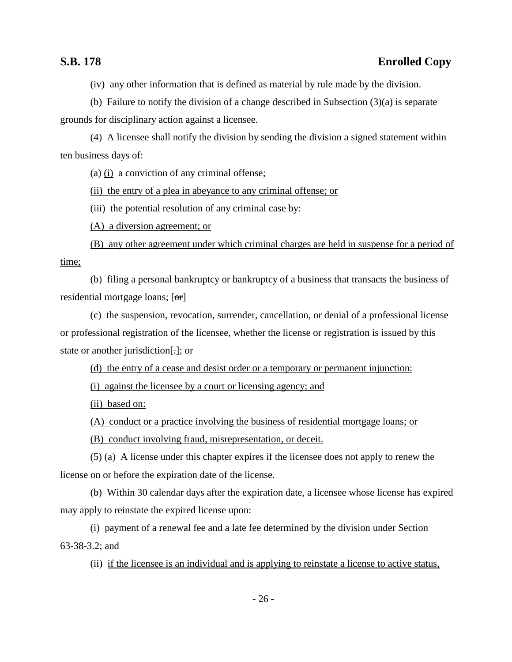(iv) any other information that is defined as material by rule made by the division.

(b) Failure to notify the division of a change described in Subsection (3)(a) is separate grounds for disciplinary action against a licensee.

(4) A licensee shall notify the division by sending the division a signed statement within ten business days of:

(a)  $(i)$  a conviction of any criminal offense;

(ii) the entry of a plea in abeyance to any criminal offense; or

(iii) the potential resolution of any criminal case by:

(A) a diversion agreement; or

(B) any other agreement under which criminal charges are held in suspense for a period of

time;

(b) filing a personal bankruptcy or bankruptcy of a business that transacts the business of residential mortgage loans; [or]

(c) the suspension, revocation, surrender, cancellation, or denial of a professional license or professional registration of the licensee, whether the license or registration is issued by this state or another jurisdiction[.]; or

(d) the entry of a cease and desist order or a temporary or permanent injunction:

(i) against the licensee by a court or licensing agency; and

(ii) based on:

(A) conduct or a practice involving the business of residential mortgage loans; or

(B) conduct involving fraud, misrepresentation, or deceit.

(5) (a) A license under this chapter expires if the licensee does not apply to renew the license on or before the expiration date of the license.

(b) Within 30 calendar days after the expiration date, a licensee whose license has expired may apply to reinstate the expired license upon:

(i) payment of a renewal fee and a late fee determined by the division under Section 63-38-3.2; and

(ii) if the licensee is an individual and is applying to reinstate a license to active status,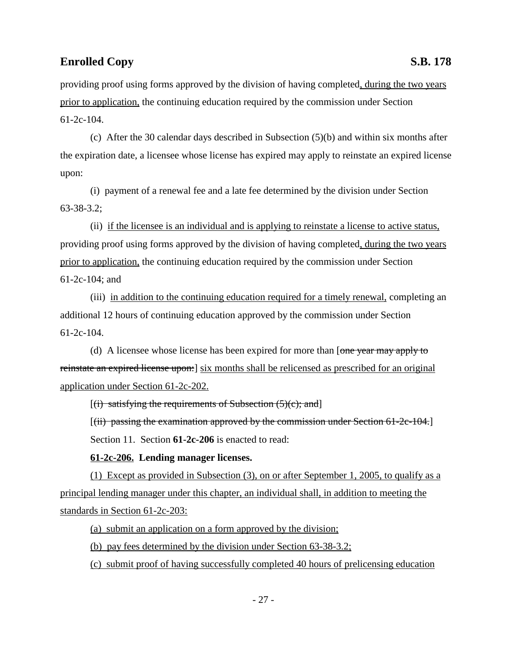providing proof using forms approved by the division of having completed, during the two years prior to application, the continuing education required by the commission under Section 61-2c-104.

(c) After the 30 calendar days described in Subsection (5)(b) and within six months after the expiration date, a licensee whose license has expired may apply to reinstate an expired license upon:

(i) payment of a renewal fee and a late fee determined by the division under Section 63-38-3.2;

(ii) if the licensee is an individual and is applying to reinstate a license to active status, providing proof using forms approved by the division of having completed, during the two years prior to application, the continuing education required by the commission under Section 61-2c-104; and

(iii) in addition to the continuing education required for a timely renewal, completing an additional 12 hours of continuing education approved by the commission under Section 61-2c-104.

(d) A licensee whose license has been expired for more than [one year may apply to reinstate an expired license upon:] six months shall be relicensed as prescribed for an original application under Section 61-2c-202.

 $[(i)$  satisfying the requirements of Subsection  $(5)(c)$ ; and

[(ii) passing the examination approved by the commission under Section 61-2c-104.]

Section 11. Section **61-2c-206** is enacted to read:

### **61-2c-206. Lending manager licenses.**

(1) Except as provided in Subsection (3), on or after September 1, 2005, to qualify as a principal lending manager under this chapter, an individual shall, in addition to meeting the standards in Section 61-2c-203:

(a) submit an application on a form approved by the division;

(b) pay fees determined by the division under Section 63-38-3.2;

(c) submit proof of having successfully completed 40 hours of prelicensing education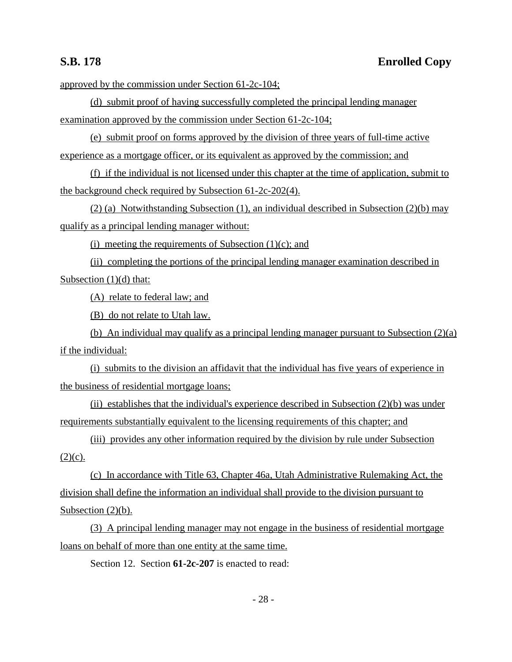approved by the commission under Section 61-2c-104;

(d) submit proof of having successfully completed the principal lending manager examination approved by the commission under Section 61-2c-104;

(e) submit proof on forms approved by the division of three years of full-time active experience as a mortgage officer, or its equivalent as approved by the commission; and

(f) if the individual is not licensed under this chapter at the time of application, submit to the background check required by Subsection 61-2c-202(4).

(2) (a) Notwithstanding Subsection (1), an individual described in Subsection (2)(b) may qualify as a principal lending manager without:

(i) meeting the requirements of Subsection  $(1)(c)$ ; and

(ii) completing the portions of the principal lending manager examination described in Subsection (1)(d) that:

(A) relate to federal law; and

(B) do not relate to Utah law.

(b) An individual may qualify as a principal lending manager pursuant to Subsection (2)(a) if the individual:

(i) submits to the division an affidavit that the individual has five years of experience in the business of residential mortgage loans;

(ii) establishes that the individual's experience described in Subsection  $(2)(b)$  was under requirements substantially equivalent to the licensing requirements of this chapter; and

(iii) provides any other information required by the division by rule under Subsection  $(2)(c)$ .

(c) In accordance with Title 63, Chapter 46a, Utah Administrative Rulemaking Act, the division shall define the information an individual shall provide to the division pursuant to Subsection  $(2)(b)$ .

(3) A principal lending manager may not engage in the business of residential mortgage loans on behalf of more than one entity at the same time.

Section 12. Section **61-2c-207** is enacted to read: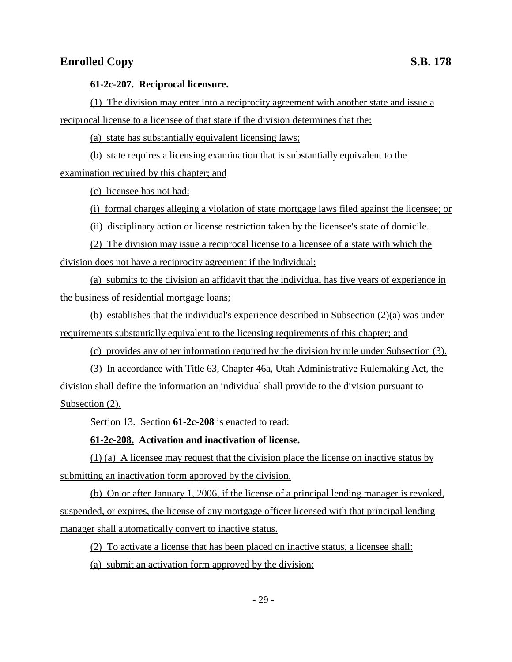### **61-2c-207. Reciprocal licensure.**

(1) The division may enter into a reciprocity agreement with another state and issue a reciprocal license to a licensee of that state if the division determines that the:

(a) state has substantially equivalent licensing laws;

(b) state requires a licensing examination that is substantially equivalent to the examination required by this chapter; and

(c) licensee has not had:

(i) formal charges alleging a violation of state mortgage laws filed against the licensee; or

(ii) disciplinary action or license restriction taken by the licensee's state of domicile.

(2) The division may issue a reciprocal license to a licensee of a state with which the division does not have a reciprocity agreement if the individual:

(a) submits to the division an affidavit that the individual has five years of experience in the business of residential mortgage loans;

(b) establishes that the individual's experience described in Subsection (2)(a) was under requirements substantially equivalent to the licensing requirements of this chapter; and

(c) provides any other information required by the division by rule under Subsection (3).

(3) In accordance with Title 63, Chapter 46a, Utah Administrative Rulemaking Act, the division shall define the information an individual shall provide to the division pursuant to Subsection (2).

Section 13. Section **61-2c-208** is enacted to read:

### **61-2c-208. Activation and inactivation of license.**

(1) (a) A licensee may request that the division place the license on inactive status by submitting an inactivation form approved by the division.

(b) On or after January 1, 2006, if the license of a principal lending manager is revoked, suspended, or expires, the license of any mortgage officer licensed with that principal lending manager shall automatically convert to inactive status.

(2) To activate a license that has been placed on inactive status, a licensee shall:

(a) submit an activation form approved by the division;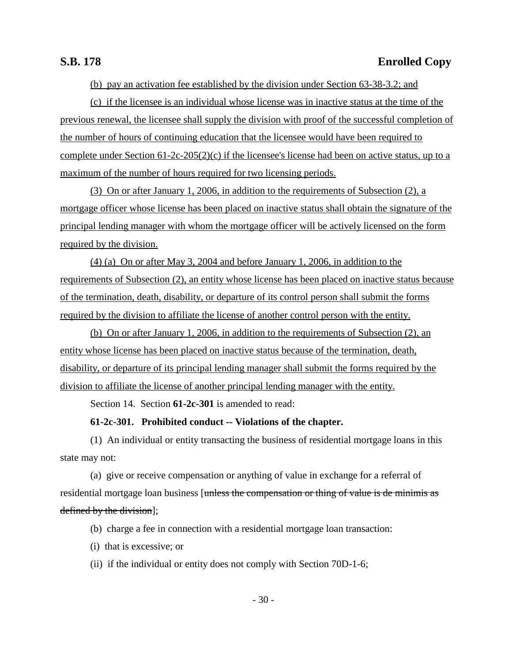(b) pay an activation fee established by the division under Section 63-38-3.2; and

(c) if the licensee is an individual whose license was in inactive status at the time of the previous renewal, the licensee shall supply the division with proof of the successful completion of the number of hours of continuing education that the licensee would have been required to complete under Section 61-2c-205(2)(c) if the licensee's license had been on active status, up to a maximum of the number of hours required for two licensing periods.

(3) On or after January 1, 2006, in addition to the requirements of Subsection (2), a mortgage officer whose license has been placed on inactive status shall obtain the signature of the principal lending manager with whom the mortgage officer will be actively licensed on the form required by the division.

(4) (a) On or after May 3, 2004 and before January 1, 2006, in addition to the requirements of Subsection (2), an entity whose license has been placed on inactive status because of the termination, death, disability, or departure of its control person shall submit the forms required by the division to affiliate the license of another control person with the entity.

(b) On or after January 1, 2006, in addition to the requirements of Subsection (2), an entity whose license has been placed on inactive status because of the termination, death, disability, or departure of its principal lending manager shall submit the forms required by the division to affiliate the license of another principal lending manager with the entity.

Section 14. Section **61-2c-301** is amended to read:

### **61-2c-301. Prohibited conduct -- Violations of the chapter.**

(1) An individual or entity transacting the business of residential mortgage loans in this state may not:

(a) give or receive compensation or anything of value in exchange for a referral of residential mortgage loan business [unless the compensation or thing of value is de minimis as defined by the division];

(b) charge a fee in connection with a residential mortgage loan transaction:

- (i) that is excessive; or
- (ii) if the individual or entity does not comply with Section 70D-1-6;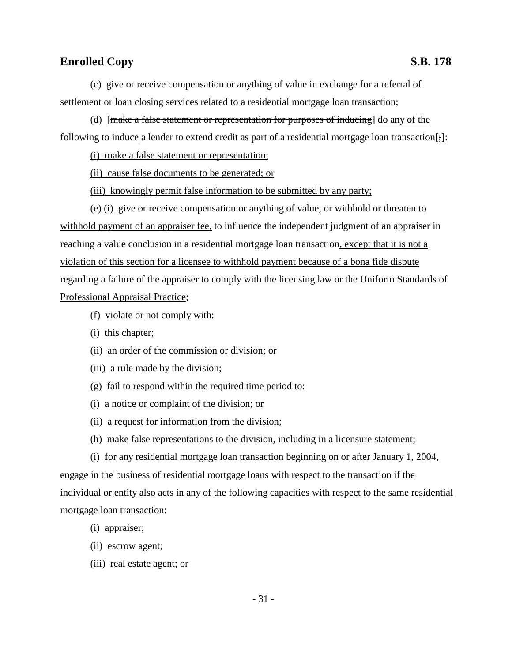(c) give or receive compensation or anything of value in exchange for a referral of settlement or loan closing services related to a residential mortgage loan transaction;

(d)  $[make a false statement or representation for purposes of inducing] do any of the$ following to induce a lender to extend credit as part of a residential mortgage loan transaction[;]:

(i) make a false statement or representation;

(ii) cause false documents to be generated; or

(iii) knowingly permit false information to be submitted by any party;

(e) (i) give or receive compensation or anything of value, or withhold or threaten to withhold payment of an appraiser fee, to influence the independent judgment of an appraiser in reaching a value conclusion in a residential mortgage loan transaction, except that it is not a violation of this section for a licensee to withhold payment because of a bona fide dispute regarding a failure of the appraiser to comply with the licensing law or the Uniform Standards of Professional Appraisal Practice;

- (f) violate or not comply with:
- (i) this chapter;
- (ii) an order of the commission or division; or
- (iii) a rule made by the division;
- (g) fail to respond within the required time period to:
- (i) a notice or complaint of the division; or
- (ii) a request for information from the division;
- (h) make false representations to the division, including in a licensure statement;

(i) for any residential mortgage loan transaction beginning on or after January 1, 2004, engage in the business of residential mortgage loans with respect to the transaction if the individual or entity also acts in any of the following capacities with respect to the same residential mortgage loan transaction:

- (i) appraiser;
- (ii) escrow agent;
- (iii) real estate agent; or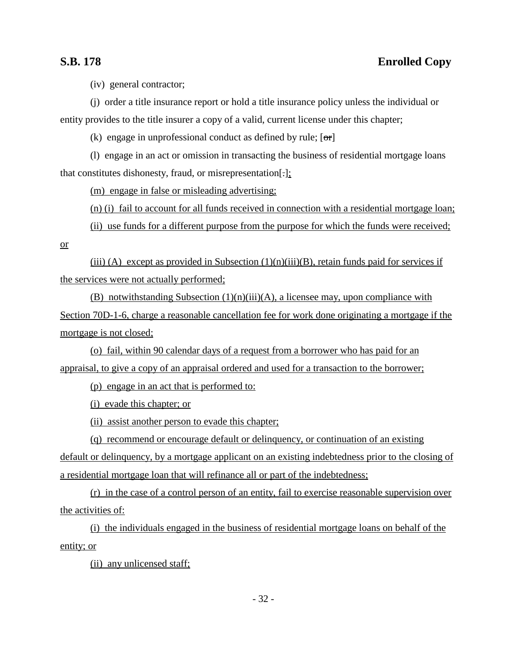(iv) general contractor;

(j) order a title insurance report or hold a title insurance policy unless the individual or entity provides to the title insurer a copy of a valid, current license under this chapter;

(k) engage in unprofessional conduct as defined by rule;  $[\sigma r]$ 

(l) engage in an act or omission in transacting the business of residential mortgage loans that constitutes dishonesty, fraud, or misrepresentation[.];

(m) engage in false or misleading advertising;

(n) (i) fail to account for all funds received in connection with a residential mortgage loan;

(ii) use funds for a different purpose from the purpose for which the funds were received;

or

(iii) (A) except as provided in Subsection  $(1)(n)(iii)(B)$ , retain funds paid for services if the services were not actually performed;

(B) notwithstanding Subsection  $(1)(n)(iii)(A)$ , a licensee may, upon compliance with Section 70D-1-6, charge a reasonable cancellation fee for work done originating a mortgage if the mortgage is not closed;

(o) fail, within 90 calendar days of a request from a borrower who has paid for an appraisal, to give a copy of an appraisal ordered and used for a transaction to the borrower;

(p) engage in an act that is performed to:

(i) evade this chapter; or

(ii) assist another person to evade this chapter;

(q) recommend or encourage default or delinquency, or continuation of an existing default or delinquency, by a mortgage applicant on an existing indebtedness prior to the closing of a residential mortgage loan that will refinance all or part of the indebtedness;

(r) in the case of a control person of an entity, fail to exercise reasonable supervision over the activities of:

(i) the individuals engaged in the business of residential mortgage loans on behalf of the entity; or

(ii) any unlicensed staff;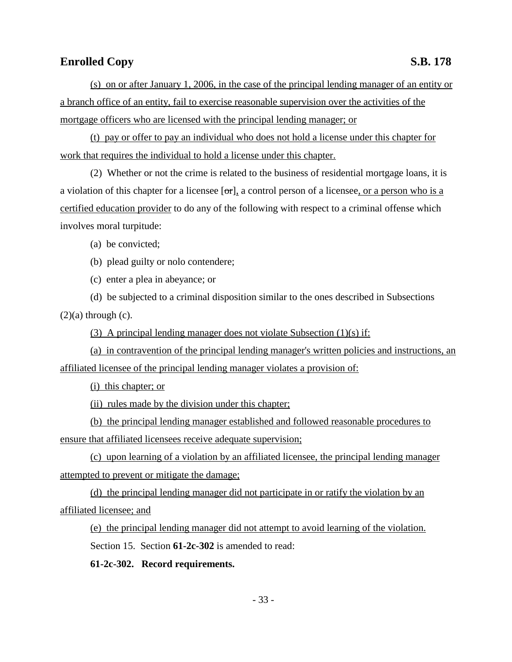(s) on or after January 1, 2006, in the case of the principal lending manager of an entity or a branch office of an entity, fail to exercise reasonable supervision over the activities of the mortgage officers who are licensed with the principal lending manager; or

(t) pay or offer to pay an individual who does not hold a license under this chapter for work that requires the individual to hold a license under this chapter.

(2) Whether or not the crime is related to the business of residential mortgage loans, it is a violation of this chapter for a licensee  $[\sigma r]$ , a control person of a licensee, or a person who is a certified education provider to do any of the following with respect to a criminal offense which involves moral turpitude:

(a) be convicted;

(b) plead guilty or nolo contendere;

(c) enter a plea in abeyance; or

(d) be subjected to a criminal disposition similar to the ones described in Subsections  $(2)(a)$  through  $(c)$ .

(3) A principal lending manager does not violate Subsection (1)(s) if:

(a) in contravention of the principal lending manager's written policies and instructions, an affiliated licensee of the principal lending manager violates a provision of:

(i) this chapter; or

(ii) rules made by the division under this chapter;

(b) the principal lending manager established and followed reasonable procedures to ensure that affiliated licensees receive adequate supervision;

(c) upon learning of a violation by an affiliated licensee, the principal lending manager attempted to prevent or mitigate the damage;

(d) the principal lending manager did not participate in or ratify the violation by an affiliated licensee; and

(e) the principal lending manager did not attempt to avoid learning of the violation.

Section 15. Section **61-2c-302** is amended to read:

**61-2c-302. Record requirements.**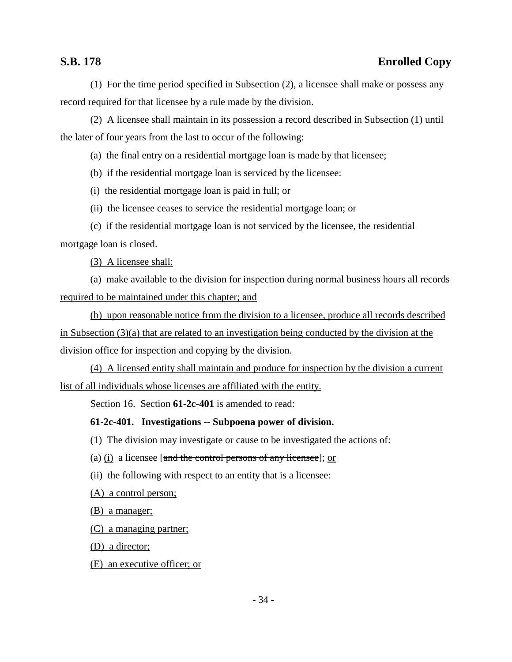(1) For the time period specified in Subsection (2), a licensee shall make or possess any record required for that licensee by a rule made by the division.

(2) A licensee shall maintain in its possession a record described in Subsection (1) until the later of four years from the last to occur of the following:

(a) the final entry on a residential mortgage loan is made by that licensee;

(b) if the residential mortgage loan is serviced by the licensee:

(i) the residential mortgage loan is paid in full; or

(ii) the licensee ceases to service the residential mortgage loan; or

(c) if the residential mortgage loan is not serviced by the licensee, the residential mortgage loan is closed.

(3) A licensee shall:

(a) make available to the division for inspection during normal business hours all records required to be maintained under this chapter; and

(b) upon reasonable notice from the division to a licensee, produce all records described in Subsection  $(3)(a)$  that are related to an investigation being conducted by the division at the division office for inspection and copying by the division.

(4) A licensed entity shall maintain and produce for inspection by the division a current list of all individuals whose licenses are affiliated with the entity.

Section 16. Section **61-2c-401** is amended to read:

### **61-2c-401. Investigations -- Subpoena power of division.**

(1) The division may investigate or cause to be investigated the actions of:

(a)  $(i)$  a licensee [and the control persons of any licensee]; or

(ii) the following with respect to an entity that is a licensee:

(A) a control person;

(B) a manager;

(C) a managing partner;

(D) a director;

(E) an executive officer; or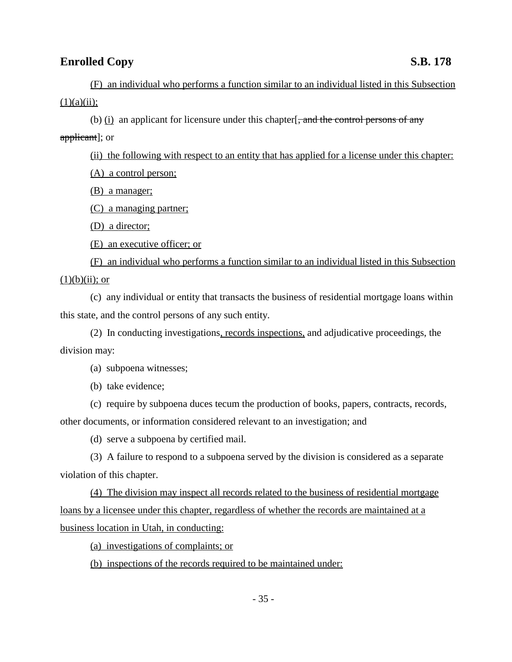(F) an individual who performs a function similar to an individual listed in this Subsection  $(1)(a)(ii);$ 

(b)  $(i)$  an applicant for licensure under this chapter  $\frac{1}{2}$ , and the control persons of any

applicant]; or

(ii) the following with respect to an entity that has applied for a license under this chapter:

(A) a control person;

(B) a manager;

(C) a managing partner;

(D) a director;

(E) an executive officer; or

(F) an individual who performs a function similar to an individual listed in this Subsection  $(1)(b)(ii)$ ; or

(c) any individual or entity that transacts the business of residential mortgage loans within this state, and the control persons of any such entity.

(2) In conducting investigations, records inspections, and adjudicative proceedings, the division may:

(a) subpoena witnesses;

(b) take evidence;

(c) require by subpoena duces tecum the production of books, papers, contracts, records, other documents, or information considered relevant to an investigation; and

(d) serve a subpoena by certified mail.

(3) A failure to respond to a subpoena served by the division is considered as a separate violation of this chapter.

(4) The division may inspect all records related to the business of residential mortgage loans by a licensee under this chapter, regardless of whether the records are maintained at a business location in Utah, in conducting:

(a) investigations of complaints; or

(b) inspections of the records required to be maintained under: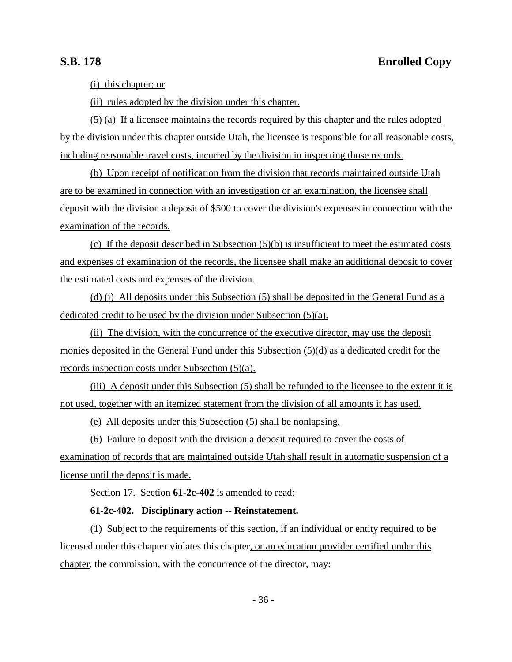(i) this chapter; or

(ii) rules adopted by the division under this chapter.

(5) (a) If a licensee maintains the records required by this chapter and the rules adopted by the division under this chapter outside Utah, the licensee is responsible for all reasonable costs, including reasonable travel costs, incurred by the division in inspecting those records.

(b) Upon receipt of notification from the division that records maintained outside Utah are to be examined in connection with an investigation or an examination, the licensee shall deposit with the division a deposit of \$500 to cover the division's expenses in connection with the examination of the records.

(c) If the deposit described in Subsection (5)(b) is insufficient to meet the estimated costs and expenses of examination of the records, the licensee shall make an additional deposit to cover the estimated costs and expenses of the division.

(d) (i) All deposits under this Subsection (5) shall be deposited in the General Fund as a dedicated credit to be used by the division under Subsection (5)(a).

(ii) The division, with the concurrence of the executive director, may use the deposit monies deposited in the General Fund under this Subsection (5)(d) as a dedicated credit for the records inspection costs under Subsection (5)(a).

(iii) A deposit under this Subsection (5) shall be refunded to the licensee to the extent it is not used, together with an itemized statement from the division of all amounts it has used.

(e) All deposits under this Subsection (5) shall be nonlapsing.

(6) Failure to deposit with the division a deposit required to cover the costs of examination of records that are maintained outside Utah shall result in automatic suspension of a license until the deposit is made.

Section 17. Section **61-2c-402** is amended to read:

### **61-2c-402. Disciplinary action -- Reinstatement.**

(1) Subject to the requirements of this section, if an individual or entity required to be licensed under this chapter violates this chapter, or an education provider certified under this chapter, the commission, with the concurrence of the director, may: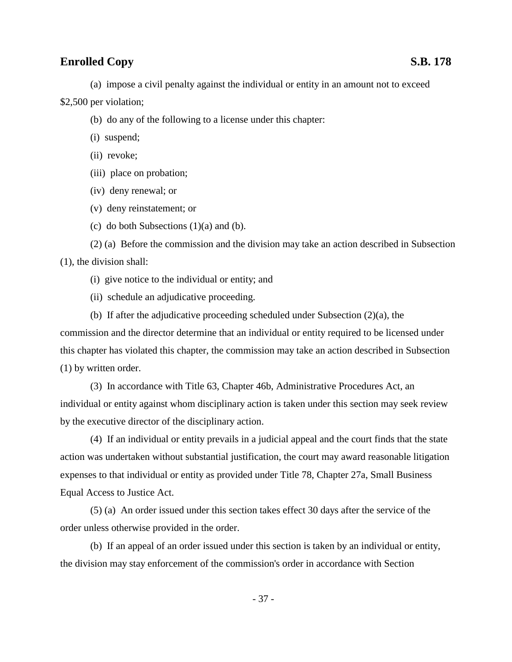(a) impose a civil penalty against the individual or entity in an amount not to exceed

\$2,500 per violation;

- (b) do any of the following to a license under this chapter:
- (i) suspend;
- (ii) revoke;
- (iii) place on probation;
- (iv) deny renewal; or
- (v) deny reinstatement; or
- (c) do both Subsections  $(1)(a)$  and  $(b)$ .

(2) (a) Before the commission and the division may take an action described in Subsection (1), the division shall:

- (i) give notice to the individual or entity; and
- (ii) schedule an adjudicative proceeding.

(b) If after the adjudicative proceeding scheduled under Subsection (2)(a), the commission and the director determine that an individual or entity required to be licensed under this chapter has violated this chapter, the commission may take an action described in Subsection (1) by written order.

(3) In accordance with Title 63, Chapter 46b, Administrative Procedures Act, an individual or entity against whom disciplinary action is taken under this section may seek review by the executive director of the disciplinary action.

(4) If an individual or entity prevails in a judicial appeal and the court finds that the state action was undertaken without substantial justification, the court may award reasonable litigation expenses to that individual or entity as provided under Title 78, Chapter 27a, Small Business Equal Access to Justice Act.

(5) (a) An order issued under this section takes effect 30 days after the service of the order unless otherwise provided in the order.

(b) If an appeal of an order issued under this section is taken by an individual or entity, the division may stay enforcement of the commission's order in accordance with Section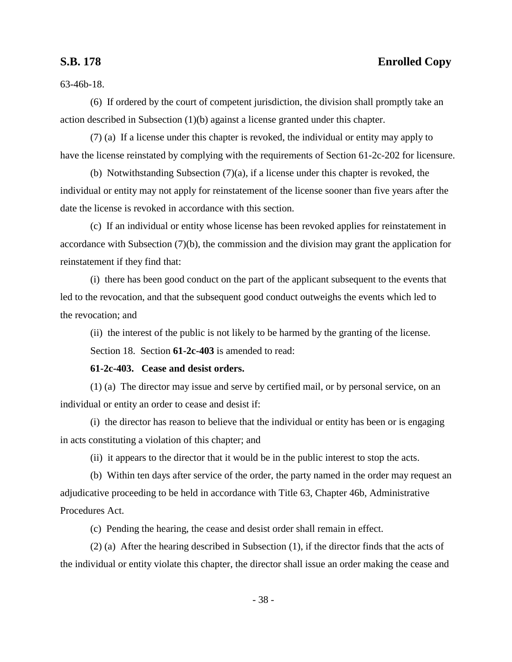63-46b-18.

(6) If ordered by the court of competent jurisdiction, the division shall promptly take an action described in Subsection (1)(b) against a license granted under this chapter.

(7) (a) If a license under this chapter is revoked, the individual or entity may apply to have the license reinstated by complying with the requirements of Section 61-2c-202 for licensure.

(b) Notwithstanding Subsection (7)(a), if a license under this chapter is revoked, the individual or entity may not apply for reinstatement of the license sooner than five years after the date the license is revoked in accordance with this section.

(c) If an individual or entity whose license has been revoked applies for reinstatement in accordance with Subsection (7)(b), the commission and the division may grant the application for reinstatement if they find that:

(i) there has been good conduct on the part of the applicant subsequent to the events that led to the revocation, and that the subsequent good conduct outweighs the events which led to the revocation; and

(ii) the interest of the public is not likely to be harmed by the granting of the license.

Section 18. Section **61-2c-403** is amended to read:

**61-2c-403. Cease and desist orders.**

(1) (a) The director may issue and serve by certified mail, or by personal service, on an individual or entity an order to cease and desist if:

(i) the director has reason to believe that the individual or entity has been or is engaging in acts constituting a violation of this chapter; and

(ii) it appears to the director that it would be in the public interest to stop the acts.

(b) Within ten days after service of the order, the party named in the order may request an adjudicative proceeding to be held in accordance with Title 63, Chapter 46b, Administrative Procedures Act.

(c) Pending the hearing, the cease and desist order shall remain in effect.

(2) (a) After the hearing described in Subsection (1), if the director finds that the acts of the individual or entity violate this chapter, the director shall issue an order making the cease and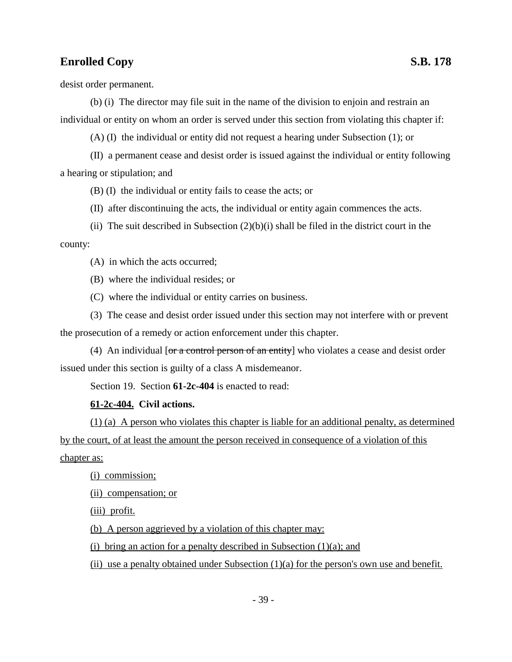desist order permanent.

(b) (i) The director may file suit in the name of the division to enjoin and restrain an individual or entity on whom an order is served under this section from violating this chapter if:

(A) (I) the individual or entity did not request a hearing under Subsection (1); or

(II) a permanent cease and desist order is issued against the individual or entity following a hearing or stipulation; and

(B) (I) the individual or entity fails to cease the acts; or

- (II) after discontinuing the acts, the individual or entity again commences the acts.
- (ii) The suit described in Subsection  $(2)(b)(i)$  shall be filed in the district court in the county:

(A) in which the acts occurred;

(B) where the individual resides; or

(C) where the individual or entity carries on business.

(3) The cease and desist order issued under this section may not interfere with or prevent the prosecution of a remedy or action enforcement under this chapter.

(4) An individual [or a control person of an entity] who violates a cease and desist order issued under this section is guilty of a class A misdemeanor.

Section 19. Section **61-2c-404** is enacted to read:

### **61-2c-404. Civil actions.**

(1) (a) A person who violates this chapter is liable for an additional penalty, as determined by the court, of at least the amount the person received in consequence of a violation of this chapter as:

(i) commission;

(ii) compensation; or

(iii) profit.

(b) A person aggrieved by a violation of this chapter may:

(i) bring an action for a penalty described in Subsection  $(1)(a)$ ; and

(ii) use a penalty obtained under Subsection  $(1)(a)$  for the person's own use and benefit.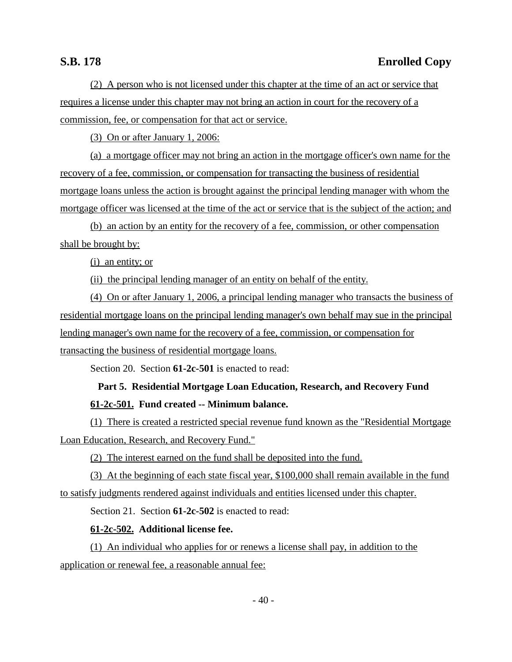(2) A person who is not licensed under this chapter at the time of an act or service that requires a license under this chapter may not bring an action in court for the recovery of a commission, fee, or compensation for that act or service.

(3) On or after January 1, 2006:

(a) a mortgage officer may not bring an action in the mortgage officer's own name for the recovery of a fee, commission, or compensation for transacting the business of residential mortgage loans unless the action is brought against the principal lending manager with whom the mortgage officer was licensed at the time of the act or service that is the subject of the action; and

(b) an action by an entity for the recovery of a fee, commission, or other compensation shall be brought by:

(i) an entity; or

(ii) the principal lending manager of an entity on behalf of the entity.

(4) On or after January 1, 2006, a principal lending manager who transacts the business of residential mortgage loans on the principal lending manager's own behalf may sue in the principal lending manager's own name for the recovery of a fee, commission, or compensation for transacting the business of residential mortgage loans.

Section 20. Section **61-2c-501** is enacted to read:

# **Part 5. Residential Mortgage Loan Education, Research, and Recovery Fund 61-2c-501. Fund created -- Minimum balance.**

(1) There is created a restricted special revenue fund known as the "Residential Mortgage Loan Education, Research, and Recovery Fund."

(2) The interest earned on the fund shall be deposited into the fund.

(3) At the beginning of each state fiscal year, \$100,000 shall remain available in the fund to satisfy judgments rendered against individuals and entities licensed under this chapter.

Section 21. Section **61-2c-502** is enacted to read:

### **61-2c-502. Additional license fee.**

(1) An individual who applies for or renews a license shall pay, in addition to the application or renewal fee, a reasonable annual fee: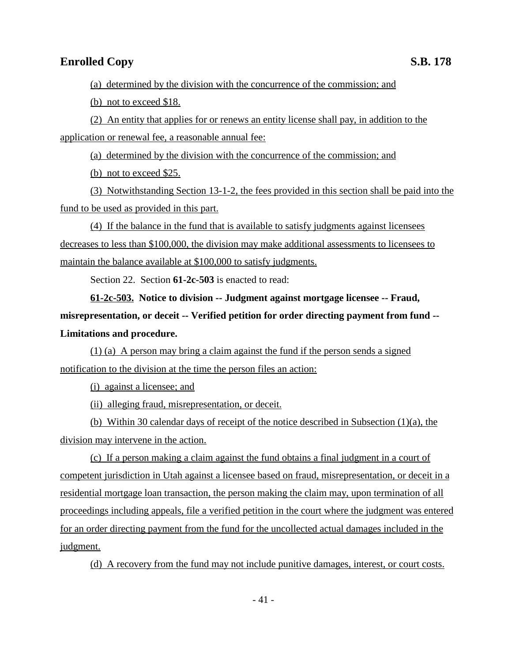(a) determined by the division with the concurrence of the commission; and

(b) not to exceed \$18.

(2) An entity that applies for or renews an entity license shall pay, in addition to the application or renewal fee, a reasonable annual fee:

(a) determined by the division with the concurrence of the commission; and

(b) not to exceed \$25.

(3) Notwithstanding Section 13-1-2, the fees provided in this section shall be paid into the fund to be used as provided in this part.

(4) If the balance in the fund that is available to satisfy judgments against licensees decreases to less than \$100,000, the division may make additional assessments to licensees to maintain the balance available at \$100,000 to satisfy judgments.

Section 22. Section **61-2c-503** is enacted to read:

**61-2c-503. Notice to division -- Judgment against mortgage licensee -- Fraud, misrepresentation, or deceit -- Verified petition for order directing payment from fund -- Limitations and procedure.**

(1) (a) A person may bring a claim against the fund if the person sends a signed notification to the division at the time the person files an action:

(i) against a licensee; and

(ii) alleging fraud, misrepresentation, or deceit.

(b) Within 30 calendar days of receipt of the notice described in Subsection (1)(a), the division may intervene in the action.

(c) If a person making a claim against the fund obtains a final judgment in a court of competent jurisdiction in Utah against a licensee based on fraud, misrepresentation, or deceit in a residential mortgage loan transaction, the person making the claim may, upon termination of all proceedings including appeals, file a verified petition in the court where the judgment was entered for an order directing payment from the fund for the uncollected actual damages included in the judgment.

(d) A recovery from the fund may not include punitive damages, interest, or court costs.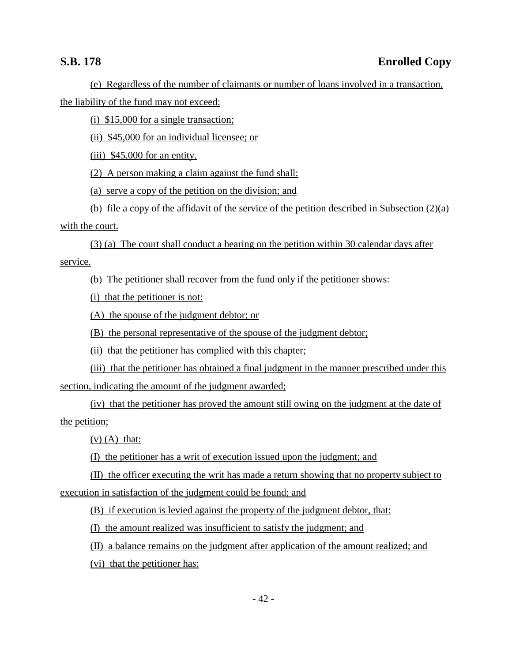(e) Regardless of the number of claimants or number of loans involved in a transaction, the liability of the fund may not exceed:

(i) \$15,000 for a single transaction;

(ii) \$45,000 for an individual licensee; or

(iii) \$45,000 for an entity.

(2) A person making a claim against the fund shall:

(a) serve a copy of the petition on the division; and

(b) file a copy of the affidavit of the service of the petition described in Subsection (2)(a) with the court.

(3) (a) The court shall conduct a hearing on the petition within 30 calendar days after service.

(b) The petitioner shall recover from the fund only if the petitioner shows:

(i) that the petitioner is not:

(A) the spouse of the judgment debtor; or

(B) the personal representative of the spouse of the judgment debtor;

(ii) that the petitioner has complied with this chapter;

(iii) that the petitioner has obtained a final judgment in the manner prescribed under this section, indicating the amount of the judgment awarded;

(iv) that the petitioner has proved the amount still owing on the judgment at the date of the petition;

 $(v)$  (A) that:

(I) the petitioner has a writ of execution issued upon the judgment; and

(II) the officer executing the writ has made a return showing that no property subject to execution in satisfaction of the judgment could be found; and

(B) if execution is levied against the property of the judgment debtor, that:

(I) the amount realized was insufficient to satisfy the judgment; and

(II) a balance remains on the judgment after application of the amount realized; and

(vi) that the petitioner has: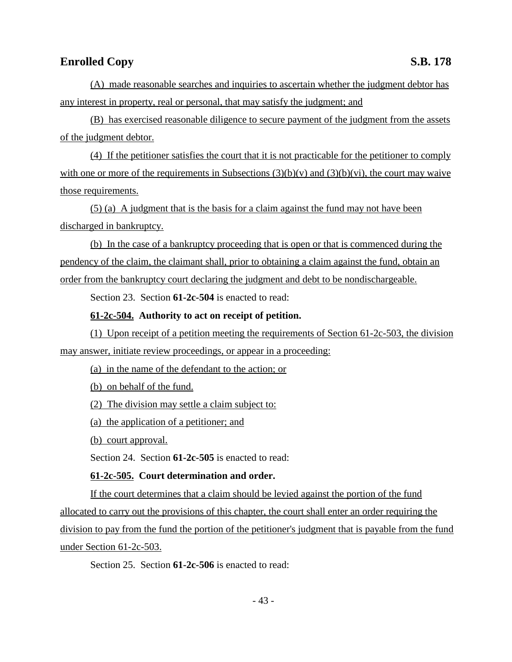(A) made reasonable searches and inquiries to ascertain whether the judgment debtor has any interest in property, real or personal, that may satisfy the judgment; and

(B) has exercised reasonable diligence to secure payment of the judgment from the assets of the judgment debtor.

(4) If the petitioner satisfies the court that it is not practicable for the petitioner to comply with one or more of the requirements in Subsections  $(3)(b)(v)$  and  $(3)(b)(vi)$ , the court may waive those requirements.

(5) (a) A judgment that is the basis for a claim against the fund may not have been discharged in bankruptcy.

(b) In the case of a bankruptcy proceeding that is open or that is commenced during the pendency of the claim, the claimant shall, prior to obtaining a claim against the fund, obtain an order from the bankruptcy court declaring the judgment and debt to be nondischargeable.

Section 23. Section **61-2c-504** is enacted to read:

### **61-2c-504. Authority to act on receipt of petition.**

(1) Upon receipt of a petition meeting the requirements of Section 61-2c-503, the division may answer, initiate review proceedings, or appear in a proceeding:

(a) in the name of the defendant to the action; or

(b) on behalf of the fund.

(2) The division may settle a claim subject to:

(a) the application of a petitioner; and

(b) court approval.

Section 24. Section **61-2c-505** is enacted to read:

### **61-2c-505. Court determination and order.**

If the court determines that a claim should be levied against the portion of the fund allocated to carry out the provisions of this chapter, the court shall enter an order requiring the division to pay from the fund the portion of the petitioner's judgment that is payable from the fund under Section 61-2c-503.

Section 25. Section **61-2c-506** is enacted to read: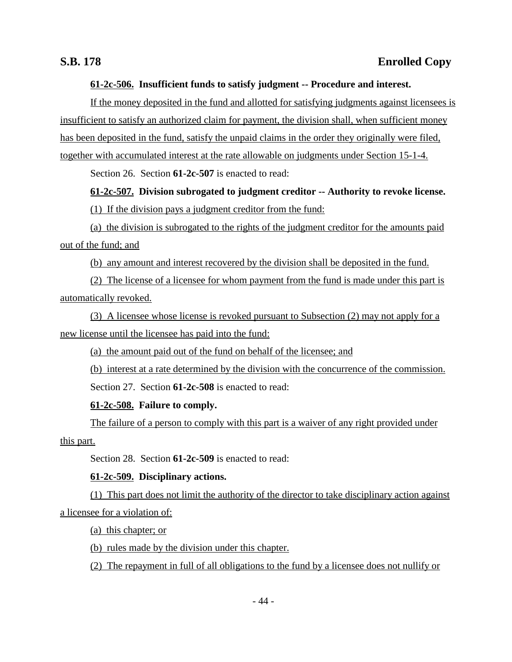### **61-2c-506. Insufficient funds to satisfy judgment -- Procedure and interest.**

If the money deposited in the fund and allotted for satisfying judgments against licensees is insufficient to satisfy an authorized claim for payment, the division shall, when sufficient money has been deposited in the fund, satisfy the unpaid claims in the order they originally were filed, together with accumulated interest at the rate allowable on judgments under Section 15-1-4.

Section 26. Section **61-2c-507** is enacted to read:

## **61-2c-507. Division subrogated to judgment creditor -- Authority to revoke license.**

(1) If the division pays a judgment creditor from the fund:

(a) the division is subrogated to the rights of the judgment creditor for the amounts paid out of the fund; and

(b) any amount and interest recovered by the division shall be deposited in the fund.

(2) The license of a licensee for whom payment from the fund is made under this part is automatically revoked.

(3) A licensee whose license is revoked pursuant to Subsection (2) may not apply for a new license until the licensee has paid into the fund:

(a) the amount paid out of the fund on behalf of the licensee; and

(b) interest at a rate determined by the division with the concurrence of the commission.

Section 27. Section **61-2c-508** is enacted to read:

## **61-2c-508. Failure to comply.**

The failure of a person to comply with this part is a waiver of any right provided under this part.

Section 28. Section **61-2c-509** is enacted to read:

## **61-2c-509. Disciplinary actions.**

(1) This part does not limit the authority of the director to take disciplinary action against a licensee for a violation of:

(a) this chapter; or

(b) rules made by the division under this chapter.

(2) The repayment in full of all obligations to the fund by a licensee does not nullify or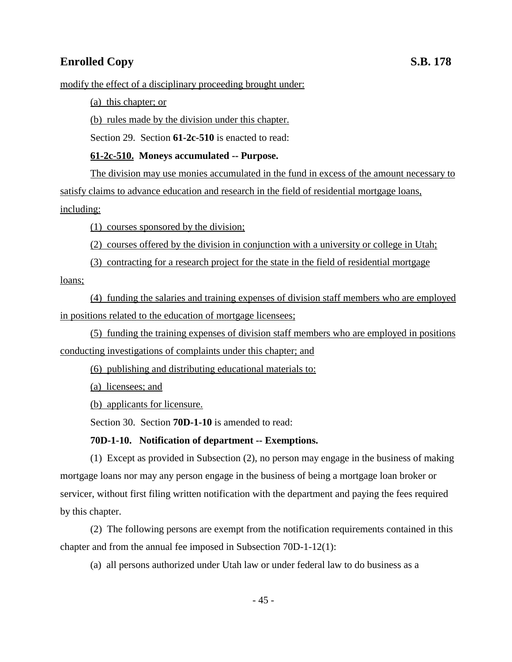modify the effect of a disciplinary proceeding brought under:

(a) this chapter; or

(b) rules made by the division under this chapter.

Section 29. Section **61-2c-510** is enacted to read:

## **61-2c-510. Moneys accumulated -- Purpose.**

The division may use monies accumulated in the fund in excess of the amount necessary to satisfy claims to advance education and research in the field of residential mortgage loans, including:

(1) courses sponsored by the division;

(2) courses offered by the division in conjunction with a university or college in Utah;

(3) contracting for a research project for the state in the field of residential mortgage

loans;

(4) funding the salaries and training expenses of division staff members who are employed in positions related to the education of mortgage licensees;

(5) funding the training expenses of division staff members who are employed in positions conducting investigations of complaints under this chapter; and

(6) publishing and distributing educational materials to:

(a) licensees; and

(b) applicants for licensure.

Section 30. Section **70D-1-10** is amended to read:

## **70D-1-10. Notification of department -- Exemptions.**

(1) Except as provided in Subsection (2), no person may engage in the business of making mortgage loans nor may any person engage in the business of being a mortgage loan broker or servicer, without first filing written notification with the department and paying the fees required by this chapter.

(2) The following persons are exempt from the notification requirements contained in this chapter and from the annual fee imposed in Subsection 70D-1-12(1):

(a) all persons authorized under Utah law or under federal law to do business as a